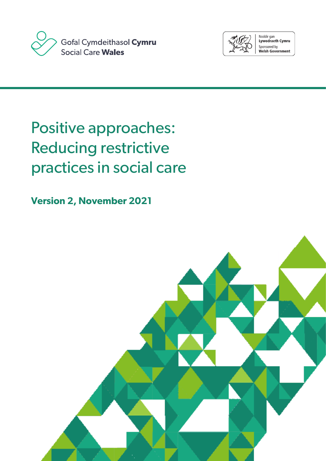



Noddir gan<br>**Lywodraeth Cymru** Sponsored by **Welsh Government** 

# Positive approaches: Reducing restrictive practices in social care

**Version 2, November 2021**

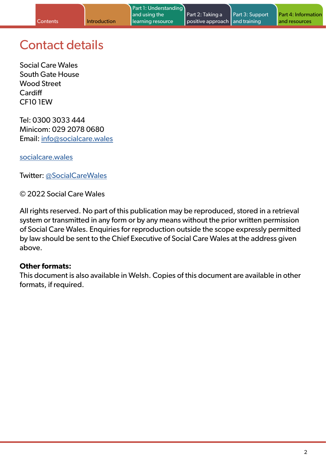## Contact details

Social Care Wales South Gate House Wood Street **Cardiff** CF10 1EW

Tel: 0300 3033 444 Minicom: 029 2078 0680 Email: [info@socialcare.wales](mailto:info%40socialcare.wales?subject=)

[socialcare.wales](http://www.socialcare.wales)

Twitter: [@SocialCareWales](https://twitter.com/SocialCareWales)

© 2022 Social Care Wales

All rights reserved. No part of this publication may be reproduced, stored in a retrieval system or transmitted in any form or by any means without the prior written permission of Social Care Wales. Enquiries for reproduction outside the scope expressly permitted by law should be sent to the Chief Executive of Social Care Wales at the address given above.

### **Other formats:**

This document is also available in Welsh. Copies of this document are available in other formats, if required.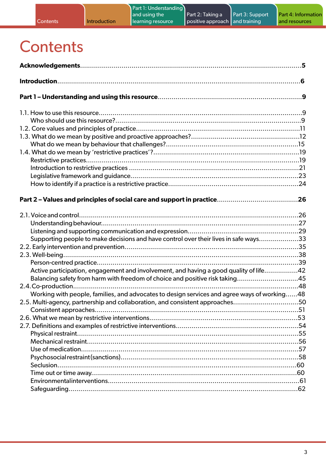## **Contents**

| Supporting people to make decisions and have control over their lives in safe ways33        |  |
|---------------------------------------------------------------------------------------------|--|
|                                                                                             |  |
|                                                                                             |  |
|                                                                                             |  |
| Active participation, engagement and involvement, and having a good quality of life42       |  |
| Balancing safety from harm with freedom of choice and positive risk taking45                |  |
|                                                                                             |  |
| Working with people, families, and advocates to design services and agree ways of working48 |  |
| 2.5. Multi-agency, partnership and collaboration, and consistent approaches50               |  |
|                                                                                             |  |
|                                                                                             |  |
|                                                                                             |  |
|                                                                                             |  |
|                                                                                             |  |
|                                                                                             |  |
|                                                                                             |  |
|                                                                                             |  |
|                                                                                             |  |
|                                                                                             |  |
|                                                                                             |  |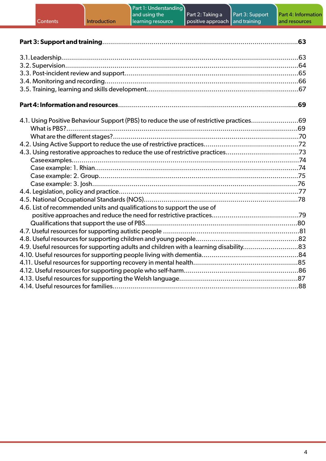| Part 1: Understanding<br>Part 3: Support<br>and using the<br>Part 2: Taking a<br>Part 4: Informatio<br>Introduction<br>learning resource<br>positive approach<br>and training<br>and resources<br>Contents |  |
|------------------------------------------------------------------------------------------------------------------------------------------------------------------------------------------------------------|--|
|                                                                                                                                                                                                            |  |
|                                                                                                                                                                                                            |  |
|                                                                                                                                                                                                            |  |
| 4.1. Using Positive Behaviour Support (PBS) to reduce the use of restrictive practices69<br>4.3. Using restorative approaches to reduce the use of restrictive practices73                                 |  |
|                                                                                                                                                                                                            |  |
| 4.6. List of recommended units and qualifications to support the use of                                                                                                                                    |  |
| 4.9. Useful resources for supporting adults and children with a learning disability83                                                                                                                      |  |
|                                                                                                                                                                                                            |  |

<sub>.</sub><br>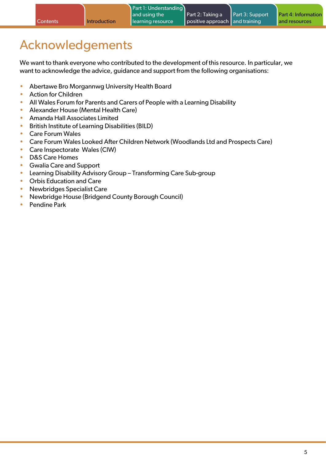## <span id="page-4-0"></span>Acknowledgements

We want to thank everyone who contributed to the development of this resource. In particular, we want to acknowledge the advice, guidance and support from the following organisations:

- Abertawe Bro Morgannwg University Health Board
- Action for Children
- All Wales Forum for Parents and Carers of People with a Learning Disability
- Alexander House (Mental Health Care)
- Amanda Hall Associates Limited
- British Institute of Learning Disabilities (BILD)
- Care Forum Wales
- Care Forum Wales Looked After Children Network (Woodlands Ltd and Prospects Care)
- Care Inspectorate Wales (CIW)
- D&S Care Homes
- Gwalia Care and Support
- Learning Disability Advisory Group Transforming Care Sub-group
- Orbis Education and Care
- Newbridges Specialist Care
- Newbridge House (Bridgend County Borough Council)
- Pendine Park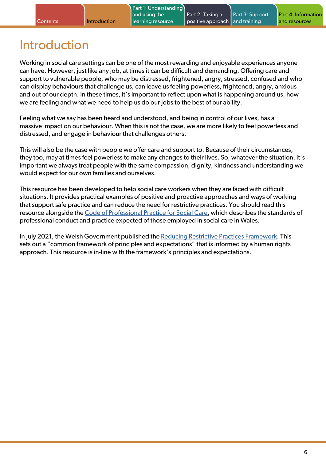Part 1: Understanding

## Introduction

<span id="page-5-0"></span>**Contents** Introduction

Working in social care settings can be one of the most rewarding and enjoyable experiences anyone can have. However, just like any job, at times it can be difficult and demanding. Offering care and support to vulnerable people, who may be distressed, frightened, angry, stressed, confused and who can display behaviours that challenge us, can leave us feeling powerless, frightened, angry, anxious and out of our depth. In these times, it's important to reflect upon what is happening around us, how we are feeling and what we need to help us do our jobs to the best of our ability.

Feeling what we say has been heard and understood, and being in control of our lives, has a massive impact on our behaviour. When this is not the case, we are more likely to feel powerless and distressed, and engage in behaviour that challenges others.

This will also be the case with people we offer care and support to. Because of their circumstances, they too, may at times feel powerless to make any changes to their lives. So, whatever the situation, it's important we always treat people with the same compassion, dignity, kindness and understanding we would expect for our own families and ourselves.

This resource has been developed to help social care workers when they are faced with difficult situations. It provides practical examples of positive and proactive approaches and ways of working that support safe practice and can reduce the need for restrictive practices. You should read this resource alongside the [Code of Professional Practice for Social Care](https://socialcare.wales/dealing-with-concerns/codes-of-practice-and-guidance), which describes the standards of professional conduct and practice expected of those employed in social care in Wales.

In July 2021, the Welsh Government published the [Reducing Restrictive Practices Framework.](https://gov.wales/sites/default/files/publications/2021-07/reducing-restrictive-practices-framework.pdf) This sets out a "common framework of principles and expectations" that is informed by a human rights approach. This resource is in-line with the framework's principles and expectations.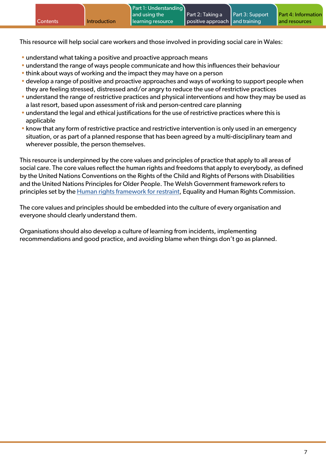This resource will help social care workers and those involved in providing social care in Wales:

- understand what taking a positive and proactive approach means
- understand the range of ways people communicate and how this influences their behaviour
- think about ways of working and the impact they may have on a person
- develop a range of positive and proactive approaches and ways of working to support people when they are feeling stressed, distressed and/or angry to reduce the use of restrictive practices
- understand the range of restrictive practices and physical interventions and how they may be used as a last resort, based upon assessment of risk and person-centred care planning
- understand the legal and ethical justifications for the use of restrictive practices where this is applicable
- know that any form of restrictive practice and restrictive intervention is only used in an emergency situation, or as part of a planned response that has been agreed by a multi-disciplinary team and wherever possible, the person themselves.

This resource is underpinned by the core values and principles of practice that apply to all areas of social care. The core values reflect the human rights and freedoms that apply to everybody, as defined by the United Nations Conventions on the Rights of the Child and Rights of Persons with Disabilities and the United Nations Principles for Older People. The Welsh Government framework refers to principles set by the [Human rights framework for restraint,](https://www.equalityhumanrights.com/sites/default/files/human-rights-framework-restraint.pdf) Equality and Human Rights Commission.

The core values and principles should be embedded into the culture of every organisation and everyone should clearly understand them.

Organisations should also develop a culture of learning from incidents, implementing recommendations and good practice, and avoiding blame when things don't go as planned.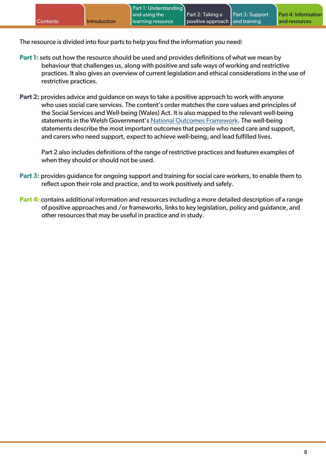The resource is divided into four parts to help you find the information you need:

- **Part 1:** sets out how the resource should be used and provides definitions of what we mean by behaviour that challenges us, along with positive and safe ways of working and restrictive practices. It also gives an overview of current legislation and ethical considerations in the use of restrictive practices.
- **Part 2:** provides advice and guidance on ways to take a positive approach to work with anyone who uses social care services. The content's order matches the core values and principles of the Social Services and Well-being (Wales) Act. It is also mapped to the relevant well-being statements in the Welsh Government's [National Outcomes Framework](https://gov.wales/social-services-national-outcomes-framework). The well-being statements describe the most important outcomes that people who need care and support, and carers who need support, expect to achieve well-being, and lead fulfilled lives.

Part 2 also includes definitions of the range of restrictive practices and features examples of when they should or should not be used.

- **Part 3:** provides guidance for ongoing support and training for social care workers, to enable them to reflect upon their role and practice, and to work positively and safely.
- **Part 4:** contains additional information and resources including a more detailed description of a range of positive approaches and /or frameworks, links to key legislation, policy and guidance, and other resources that may be useful in practice and in study.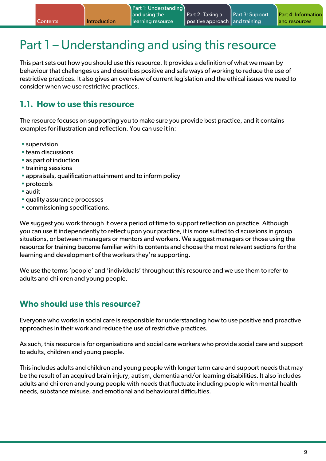## <span id="page-8-0"></span>Part 1 – Understanding and using this resource

This part sets out how you should use this resource. It provides a definition of what we mean by behaviour that challenges us and describes positive and safe ways of working to reduce the use of restrictive practices. It also gives an overview of current legislation and the ethical issues we need to consider when we use restrictive practices.

### **1.1. How to use this resource**

The resource focuses on supporting you to make sure you provide best practice, and it contains examples for illustration and reflection. You can use it in:

- supervision
- team discussions
- as part of induction
- training sessions
- appraisals, qualification attainment and to inform policy
- protocols
- audit
- quality assurance processes
- commissioning specifications.

We suggest you work through it over a period of time to support reflection on practice. Although you can use it independently to reflect upon your practice, it is more suited to discussions in group situations, or between managers or mentors and workers. We suggest managers or those using the resource for training become familiar with its contents and choose the most relevant sections for the learning and development of the workers they're supporting.

We use the terms 'people' and 'individuals' throughout this resource and we use them to refer to adults and children and young people.

### **Who should use this resource?**

Everyone who works in social care is responsible for understanding how to use positive and proactive approaches in their work and reduce the use of restrictive practices.

As such, this resource is for organisations and social care workers who provide social care and support to adults, children and young people.

This includes adults and children and young people with longer term care and support needs that may be the result of an acquired brain injury, autism, dementia and/or learning disabilities. It also includes adults and children and young people with needs that fluctuate including people with mental health needs, substance misuse, and emotional and behavioural difficulties.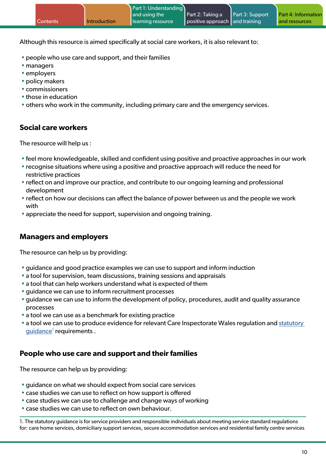Although this resource is aimed specifically at social care workers, it is also relevant to:

- people who use care and support, and their families
- managers
- employers
- policy makers
- commissioners
- those in education
- others who work in the community, including primary care and the emergency services.

#### **Social care workers**

The resource will help us :

- feel more knowledgeable, skilled and confident using positive and proactive approaches in our work
- recognise situations where using a positive and proactive approach will reduce the need for restrictive practices
- reflect on and improve our practice, and contribute to our ongoing learning and professional development
- reflect on how our decisions can affect the balance of power between us and the people we work with
- appreciate the need for support, supervision and ongoing training.

#### **Managers and employers**

The resource can help us by providing:

- guidance and good practice examples we can use to support and inform induction
- a tool for supervision, team discussions, training sessions and appraisals
- a tool that can help workers understand what is expected of them
- guidance we can use to inform recruitment processes
- guidance we can use to inform the development of policy, procedures, audit and quality assurance processes
- a tool we can use as a benchmark for existing practice
- a tool we can use to produce evidence for relevant Care Inspectorate Wales regulation and statutory [guidance](https://gov.wales/sites/default/files/publications/2019-04/guidance-for-providers-and-responsible-individuals.pdf)<sup>1</sup> requirements .

#### **People who use care and support and their families**

The resource can help us by providing:

- guidance on what we should expect from social care services
- case studies we can use to reflect on how support is offered
- case studies we can use to challenge and change ways of working
- case studies we can use to reflect on own behaviour.

1. The statutory guidance is for service providers and responsible individuals about meeting service standard regulations for: care home services, domiciliary support services, secure accommodation services and residential family centre services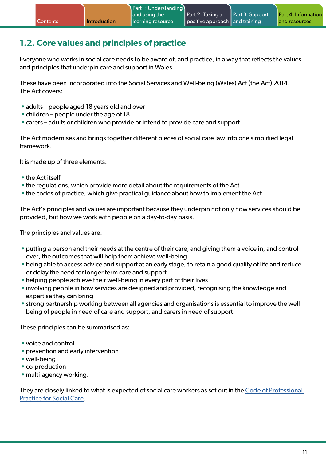## <span id="page-10-0"></span>**1.2. Core values and principles of practice**

Everyone who works in social care needs to be aware of, and practice, in a way that reflects the values and principles that underpin care and support in Wales.

These have been incorporated into the Social Services and Well-being (Wales) Act (the Act) 2014. The Act covers:

- adults people aged 18 years old and over
- children people under the age of 18
- carers adults or children who provide or intend to provide care and support.

The Act modernises and brings together different pieces of social care law into one simplified legal framework.

It is made up of three elements:

- the Act itself
- the regulations, which provide more detail about the requirements of the Act
- the codes of practice, which give practical guidance about how to implement the Act.

The Act's principles and values are important because they underpin not only how services should be provided, but how we work with people on a day-to-day basis.

The principles and values are:

- putting a person and their needs at the centre of their care, and giving them a voice in, and control over, the outcomes that will help them achieve well-being
- being able to access advice and support at an early stage, to retain a good quality of life and reduce or delay the need for longer term care and support
- helping people achieve their well-being in every part of their lives
- involving people in how services are designed and provided, recognising the knowledge and expertise they can bring
- strong partnership working between all agencies and organisations is essential to improve the wellbeing of people in need of care and support, and carers in need of support.

These principles can be summarised as:

- voice and control
- prevention and early intervention
- well-being
- co-production
- multi-agency working.

They are closely linked to what is expected of social care workers as set out in the [Code of Professional](https://socialcare.wales/dealing-with-concerns/codes-of-practice-and-guidance)  [Practice for Social Care.](https://socialcare.wales/dealing-with-concerns/codes-of-practice-and-guidance)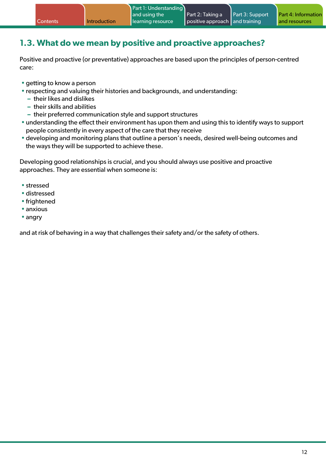## <span id="page-11-0"></span>**1.3. What do we mean by positive and proactive approaches?**

Positive and proactive (or preventative) approaches are based upon the principles of person-centred care:

- getting to know a person
- respecting and valuing their histories and backgrounds, and understanding:
	- **–** their likes and dislikes
	- **–** their skills and abilities
	- **–** their preferred communication style and support structures
- understanding the effect their environment has upon them and using this to identify ways to support people consistently in every aspect of the care that they receive
- developing and monitoring plans that outline a person's needs, desired well-being outcomes and the ways they will be supported to achieve these.

Developing good relationships is crucial, and you should always use positive and proactive approaches. They are essential when someone is:

- stressed
- distressed
- frightened
- anxious
- angry

and at risk of behaving in a way that challenges their safety and/or the safety of others.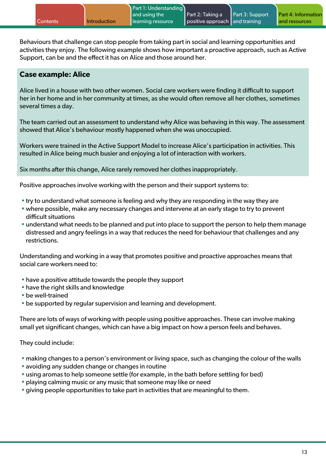Behaviours that challenge can stop people from taking part in social and learning opportunities and activities they enjoy. The following example shows how important a proactive approach, such as Active Support, can be and the effect it has on Alice and those around her.

#### **Case example: Alice**

Alice lived in a house with two other women. Social care workers were finding it difficult to support her in her home and in her community at times, as she would often remove all her clothes, sometimes several times a day.

The team carried out an assessment to understand why Alice was behaving in this way. The assessment showed that Alice's behaviour mostly happened when she was unoccupied.

Workers were trained in the Active Support Model to increase Alice's participation in activities. This resulted in Alice being much busier and enjoying a lot of interaction with workers.

Six months after this change, Alice rarely removed her clothes inappropriately.

Positive approaches involve working with the person and their support systems to:

- try to understand what someone is feeling and why they are responding in the way they are
- where possible, make any necessary changes and intervene at an early stage to try to prevent difficult situations
- understand what needs to be planned and put into place to support the person to help them manage distressed and angry feelings in a way that reduces the need for behaviour that challenges and any restrictions.

Understanding and working in a way that promotes positive and proactive approaches means that social care workers need to:

- have a positive attitude towards the people they support
- have the right skills and knowledge
- be well-trained
- be supported by regular supervision and learning and development.

There are lots of ways of working with people using positive approaches. These can involve making small yet significant changes, which can have a big impact on how a person feels and behaves.

They could include:

- making changes to a person's environment or living space, such as changing the colour of the walls
- avoiding any sudden change or changes in routine
- using aromas to help someone settle (for example, in the bath before settling for bed)
- playing calming music or any music that someone may like or need
- giving people opportunities to take part in activities that are meaningful to them.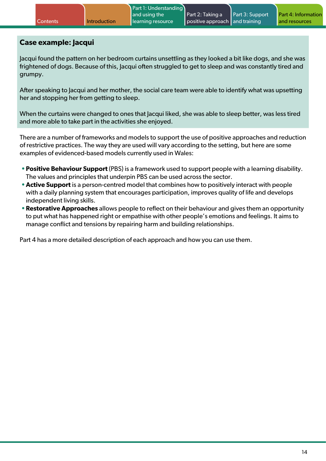#### **Case example: Jacqui**

Jacqui found the pattern on her bedroom curtains unsettling as they looked a bit like dogs, and she was frightened of dogs. Because of this, Jacqui often struggled to get to sleep and was constantly tired and grumpy.

After speaking to Jacqui and her mother, the social care team were able to identify what was upsetting her and stopping her from getting to sleep.

When the curtains were changed to ones that Jacqui liked, she was able to sleep better, was less tired and more able to take part in the activities she enjoyed.

There are a number of frameworks and models to support the use of positive approaches and reduction of restrictive practices. The way they are used will vary according to the setting, but here are some examples of evidenced-based models currently used in Wales:

- **•Positive Behaviour Support** (PBS) is a framework used to support people with a learning disability. The values and principles that underpin PBS can be used across the sector.
- **•Active Support** is a person-centred model that combines how to positively interact with people with a daily planning system that encourages participation, improves quality of life and develops independent living skills.
- **•Restorative Approaches** allows people to reflect on their behaviour and gives them an opportunity to put what has happened right or empathise with other people's emotions and feelings. It aims to manage conflict and tensions by repairing harm and building relationships.

Part 4 has a more detailed description of each approach and how you can use them.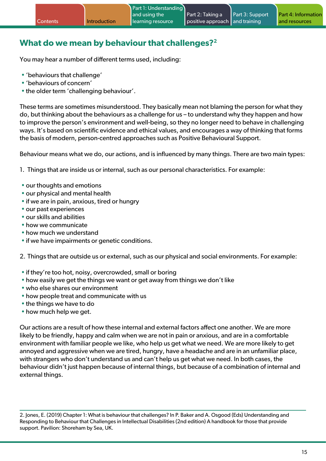## <span id="page-14-0"></span>**What do we mean by behaviour that challenges?2**

You may hear a number of different terms used, including:

- 'behaviours that challenge'
- 'behaviours of concern'
- the older term 'challenging behaviour'.

These terms are sometimes misunderstood. They basically mean not blaming the person for what they do, but thinking about the behaviours as a challenge for us – to understand why they happen and how to improve the person's environment and well-being, so they no longer need to behave in challenging ways. It's based on scientific evidence and ethical values, and encourages a way of thinking that forms the basis of modern, person-centred approaches such as Positive Behavioural Support.

Behaviour means what we do, our actions, and is influenced by many things. There are two main types:

1. Things that are inside us or internal, such as our personal characteristics. For example:

- our thoughts and emotions
- our physical and mental health
- if we are in pain, anxious, tired or hungry
- our past experiences
- our skills and abilities
- how we communicate
- how much we understand
- if we have impairments or genetic conditions.

2. Things that are outside us or external, such as our physical and social environments. For example:

- if they're too hot, noisy, overcrowded, small or boring
- how easily we get the things we want or get away from things we don't like
- who else shares our environment
- how people treat and communicate with us
- the things we have to do
- how much help we get.

Our actions are a result of how these internal and external factors affect one another. We are more likely to be friendly, happy and calm when we are not in pain or anxious, and are in a comfortable environment with familiar people we like, who help us get what we need. We are more likely to get annoyed and aggressive when we are tired, hungry, have a headache and are in an unfamiliar place, with strangers who don't understand us and can't help us get what we need. In both cases, the behaviour didn't just happen because of internal things, but because of a combination of internal and external things.

2. Jones, E. (2019) Chapter 1: What is behaviour that challenges? In P. Baker and A. Osgood (Eds) Understanding and Responding to Behaviour that Challenges in Intellectual Disabilities (2nd edition) A handbook for those that provide support. Pavilion: Shoreham by Sea, UK.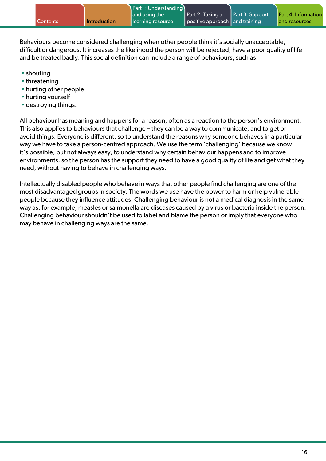Behaviours become considered challenging when other people think it's socially unacceptable, difficult or dangerous. It increases the likelihood the person will be rejected, have a poor quality of life and be treated badly. This social definition can include a range of behaviours, such as:

- shouting
- threatening
- hurting other people
- hurting yourself
- destroying things.

All behaviour has meaning and happens for a reason, often as a reaction to the person's environment. This also applies to behaviours that challenge – they can be a way to communicate, and to get or avoid things. Everyone is different, so to understand the reasons why someone behaves in a particular way we have to take a person-centred approach. We use the term 'challenging' because we know it's possible, but not always easy, to understand why certain behaviour happens and to improve environments, so the person has the support they need to have a good quality of life and get what they need, without having to behave in challenging ways.

Intellectually disabled people who behave in ways that other people find challenging are one of the most disadvantaged groups in society. The words we use have the power to harm or help vulnerable people because they influence attitudes. Challenging behaviour is not a medical diagnosis in the same way as, for example, measles or salmonella are diseases caused by a virus or bacteria inside the person. Challenging behaviour shouldn't be used to label and blame the person or imply that everyone who may behave in challenging ways are the same.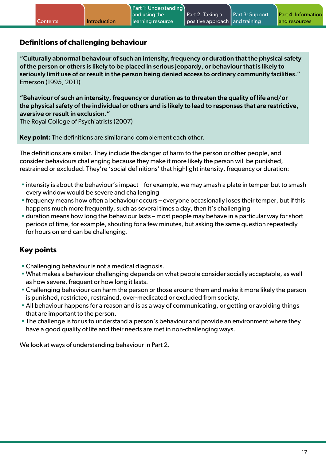#### **Definitions of challenging behaviour**

"Culturally abnormal behaviour of such an intensity, frequency or duration that the physical safety of the person or others is likely to be placed in serious jeopardy, or behaviour that is likely to seriously limit use of or result in the person being denied access to ordinary community facilities." Emerson (1995, 2011)

"Behaviour of such an intensity, frequency or duration as to threaten the quality of life and/or the physical safety of the individual or others and is likely to lead to responses that are restrictive, aversive or result in exclusion."

The Royal College of Psychiatrists (2007)

**Key point:** The definitions are similar and complement each other.

The definitions are similar. They include the danger of harm to the person or other people, and consider behaviours challenging because they make it more likely the person will be punished, restrained or excluded. They're 'social definitions' that highlight intensity, frequency or duration:

- intensity is about the behaviour's impact for example, we may smash a plate in temper but to smash every window would be severe and challenging
- frequency means how often a behaviour occurs everyone occasionally loses their temper, but if this happens much more frequently, such as several times a day, then it's challenging
- duration means how long the behaviour lasts most people may behave in a particular way for short periods of time, for example, shouting for a few minutes, but asking the same question repeatedly for hours on end can be challenging.

### **Key points**

- Challenging behaviour is not a medical diagnosis.
- What makes a behaviour challenging depends on what people consider socially acceptable, as well as how severe, frequent or how long it lasts.
- Challenging behaviour can harm the person or those around them and make it more likely the person is punished, restricted, restrained, over-medicated or excluded from society.
- All behaviour happens for a reason and is as a way of communicating, or getting or avoiding things that are important to the person.
- The challenge is for us to understand a person's behaviour and provide an environment where they have a good quality of life and their needs are met in non-challenging ways.

We look at ways of understanding behaviour in Part 2.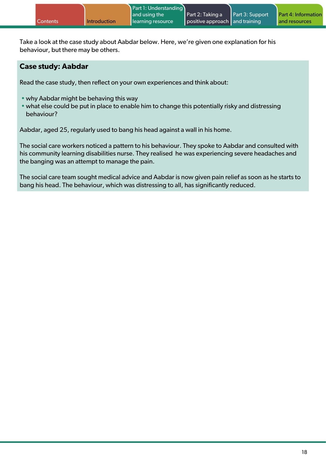|                 |                     | Part 1: Understanding |                                 |                        |                     |
|-----------------|---------------------|-----------------------|---------------------------------|------------------------|---------------------|
|                 |                     | and using the         | $\blacksquare$ Part 2: Taking a | <b>Part 3: Support</b> | Part 4: Information |
| <b>Contents</b> | <b>Introduction</b> | learning resource     | positive approach and training  |                        | and resources       |

Take a look at the case study about Aabdar below. Here, we're given one explanation for his behaviour, but there may be others.

#### **Case study: Aabdar**

Read the case study, then reflect on your own experiences and think about:

- why Aabdar might be behaving this way
- what else could be put in place to enable him to change this potentially risky and distressing behaviour?

Aabdar, aged 25, regularly used to bang his head against a wall in his home.

The social care workers noticed a pattern to his behaviour. They spoke to Aabdar and consulted with his community learning disabilities nurse. They realised he was experiencing severe headaches and the banging was an attempt to manage the pain.

The social care team sought medical advice and Aabdar is now given pain relief as soon as he starts to bang his head. The behaviour, which was distressing to all, has significantly reduced.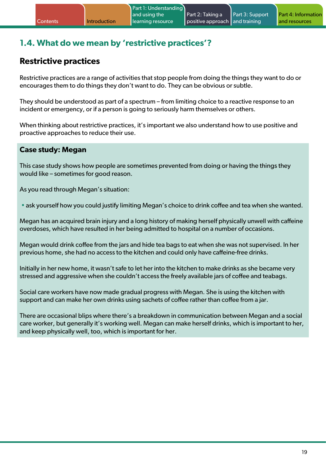## <span id="page-18-0"></span>**1.4. What do we mean by 'restrictive practices'?**

## **Restrictive practices**

Restrictive practices are a range of activities that stop people from doing the things they want to do or encourages them to do things they don't want to do. They can be obvious or subtle.

They should be understood as part of a spectrum – from limiting choice to a reactive response to an incident or emergency, or if a person is going to seriously harm themselves or others.

When thinking about restrictive practices, it's important we also understand how to use positive and proactive approaches to reduce their use.

#### **Case study: Megan**

This case study shows how people are sometimes prevented from doing or having the things they would like – sometimes for good reason.

As you read through Megan's situation:

• ask yourself how you could justify limiting Megan's choice to drink coffee and tea when she wanted.

Megan has an acquired brain injury and a long history of making herself physically unwell with caffeine overdoses, which have resulted in her being admitted to hospital on a number of occasions.

Megan would drink coffee from the jars and hide tea bags to eat when she was not supervised. In her previous home, she had no access to the kitchen and could only have caffeine-free drinks.

Initially in her new home, it wasn't safe to let her into the kitchen to make drinks as she became very stressed and aggressive when she couldn't access the freely available jars of coffee and teabags.

Social care workers have now made gradual progress with Megan. She is using the kitchen with support and can make her own drinks using sachets of coffee rather than coffee from a jar.

There are occasional blips where there's a breakdown in communication between Megan and a social care worker, but generally it's working well. Megan can make herself drinks, which is important to her, and keep physically well, too, which is important for her.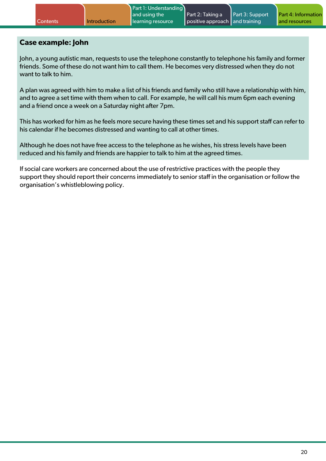#### **Case example: John**

John, a young autistic man, requests to use the telephone constantly to telephone his family and former friends. Some of these do not want him to call them. He becomes very distressed when they do not want to talk to him.

A plan was agreed with him to make a list of his friends and family who still have a relationship with him, and to agree a set time with them when to call. For example, he will call his mum 6pm each evening and a friend once a week on a Saturday night after 7pm.

This has worked for him as he feels more secure having these times set and his support staff can refer to his calendar if he becomes distressed and wanting to call at other times.

Although he does not have free access to the telephone as he wishes, his stress levels have been reduced and his family and friends are happier to talk to him at the agreed times.

If social care workers are concerned about the use of restrictive practices with the people they support they should report their concerns immediately to senior staff in the organisation or follow the organisation's whistleblowing policy.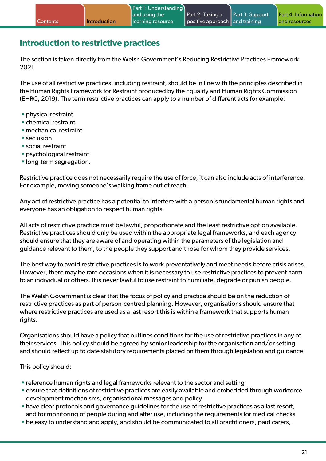## <span id="page-20-0"></span>**Introduction to restrictive practices**

The section is taken directly from the Welsh Government's Reducing Restrictive Practices Framework 2021

The use of all restrictive practices, including restraint, should be in line with the principles described in the Human Rights Framework for Restraint produced by the Equality and Human Rights Commission (EHRC, 2019). The term restrictive practices can apply to a number of different acts for example:

- physical restraint
- chemical restraint
- mechanical restraint
- seclusion
- social restraint
- psychological restraint
- long-term segregation.

Restrictive practice does not necessarily require the use of force, it can also include acts of interference. For example, moving someone's walking frame out of reach.

Any act of restrictive practice has a potential to interfere with a person's fundamental human rights and everyone has an obligation to respect human rights.

All acts of restrictive practice must be lawful, proportionate and the least restrictive option available. Restrictive practices should only be used within the appropriate legal frameworks, and each agency should ensure that they are aware of and operating within the parameters of the legislation and guidance relevant to them, to the people they support and those for whom they provide services.

The best way to avoid restrictive practices is to work preventatively and meet needs before crisis arises. However, there may be rare occasions when it is necessary to use restrictive practices to prevent harm to an individual or others. It is never lawful to use restraint to humiliate, degrade or punish people.

The Welsh Government is clear that the focus of policy and practice should be on the reduction of restrictive practices as part of person-centred planning. However, organisations should ensure that where restrictive practices are used as a last resort this is within a framework that supports human rights.

Organisations should have a policy that outlines conditions for the use of restrictive practices in any of their services. This policy should be agreed by senior leadership for the organisation and/or setting and should reflect up to date statutory requirements placed on them through legislation and guidance.

This policy should:

- reference human rights and legal frameworks relevant to the sector and setting
- ensure that definitions of restrictive practices are easily available and embedded through workforce development mechanisms, organisational messages and policy
- have clear protocols and governance guidelines for the use of restrictive practices as a last resort, and for monitoring of people during and after use, including the requirements for medical checks
- be easy to understand and apply, and should be communicated to all practitioners, paid carers,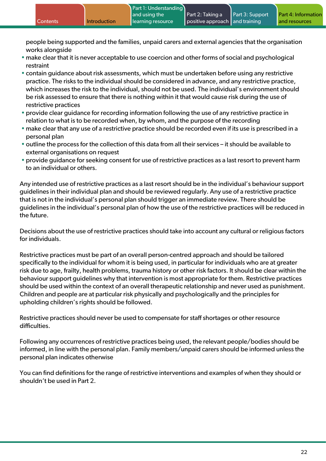people being supported and the families, unpaid carers and external agencies that the organisation works alongside

- make clear that it is never acceptable to use coercion and other forms of social and psychological restraint
- contain guidance about risk assessments, which must be undertaken before using any restrictive practice. The risks to the individual should be considered in advance, and any restrictive practice, which increases the risk to the individual, should not be used. The individual's environment should be risk assessed to ensure that there is nothing within it that would cause risk during the use of restrictive practices
- provide clear guidance for recording information following the use of any restrictive practice in relation to what is to be recorded when, by whom, and the purpose of the recording
- make clear that any use of a restrictive practice should be recorded even if its use is prescribed in a personal plan
- outline the process for the collection of this data from all their services it should be available to external organisations on request
- provide guidance for seeking consent for use of restrictive practices as a last resort to prevent harm to an individual or others.

Any intended use of restrictive practices as a last resort should be in the individual's behaviour support guidelines in their individual plan and should be reviewed regularly. Any use of a restrictive practice that is not in the individual's personal plan should trigger an immediate review. There should be guidelines in the individual's personal plan of how the use of the restrictive practices will be reduced in the future.

Decisions about the use of restrictive practices should take into account any cultural or religious factors for individuals.

Restrictive practices must be part of an overall person-centred approach and should be tailored specifically to the individual for whom it is being used, in particular for individuals who are at greater risk due to age, frailty, health problems, trauma history or other risk factors. It should be clear within the behaviour support guidelines why that intervention is most appropriate for them. Restrictive practices should be used within the context of an overall therapeutic relationship and never used as punishment. Children and people are at particular risk physically and psychologically and the principles for upholding children's rights should be followed.

Restrictive practices should never be used to compensate for staff shortages or other resource difficulties.

Following any occurrences of restrictive practices being used, the relevant people/bodies should be informed, in line with the personal plan. Family members/unpaid carers should be informed unless the personal plan indicates otherwise

You can find definitions for the range of restrictive interventions and examples of when they should or shouldn't be used in Part 2.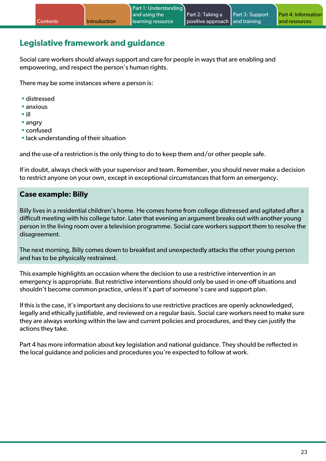## <span id="page-22-0"></span>**Legislative framework and guidance**

Social care workers should always support and care for people in ways that are enabling and empowering, and respect the person's human rights.

There may be some instances where a person is:

- distressed
- anxious
- ill
- angry
- confused
- lack understanding of their situation

and the use of a restriction is the only thing to do to keep them and/or other people safe.

If in doubt, always check with your supervisor and team. Remember, you should never make a decision to restrict anyone on your own, except in exceptional circumstances that form an emergency.

#### **Case example: Billy**

Billy lives in a residential children's home. He comes home from college distressed and agitated after a difficult meeting with his college tutor. Later that evening an argument breaks out with another young person in the living room over a television programme. Social care workers support them to resolve the disagreement.

The next morning, Billy comes down to breakfast and unexpectedly attacks the other young person and has to be physically restrained.

This example highlights an occasion where the decision to use a restrictive intervention in an emergency is appropriate. But restrictive interventions should only be used in one-off situations and shouldn't become common practice, unless it's part of someone's care and support plan.

If this is the case, it's important any decisions to use restrictive practices are openly acknowledged, legally and ethically justifiable, and reviewed on a regular basis. Social care workers need to make sure they are always working within the law and current policies and procedures, and they can justify the actions they take.

Part 4 has more information about key legislation and national guidance. They should be reflected in the local guidance and policies and procedures you're expected to follow at work.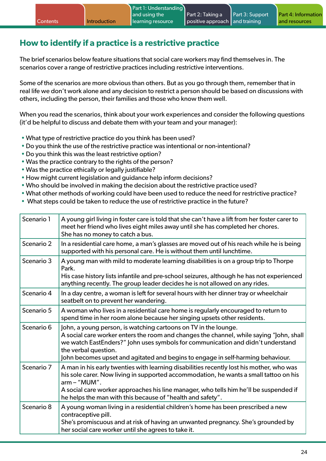## <span id="page-23-0"></span>**How to identify if a practice is a restrictive practice**

The brief scenarios below feature situations that social care workers may find themselves in. The scenarios cover a range of restrictive practices including restrictive interventions.

Some of the scenarios are more obvious than others. But as you go through them, remember that in real life we don't work alone and any decision to restrict a person should be based on discussions with others, including the person, their families and those who know them well.

When you read the scenarios, think about your work experiences and consider the following questions (it'd be helpful to discuss and debate them with your team and your manager):

- What type of restrictive practice do you think has been used?
- •Do you think the use of the restrictive practice was intentional or non-intentional?
- •Do you think this was the least restrictive option?
- Was the practice contrary to the rights of the person?
- Was the practice ethically or legally justifiable?
- How might current legislation and guidance help inform decisions?
- Who should be involved in making the decision about the restrictive practice used?
- What other methods of working could have been used to reduce the need for restrictive practice?
- What steps could be taken to reduce the use of restrictive practice in the future?

| Scenario 1 | A young girl living in foster care is told that she can't have a lift from her foster carer to<br>meet her friend who lives eight miles away until she has completed her chores.<br>She has no money to catch a bus.                                                                                                                                       |
|------------|------------------------------------------------------------------------------------------------------------------------------------------------------------------------------------------------------------------------------------------------------------------------------------------------------------------------------------------------------------|
| Scenario 2 | In a residential care home, a man's glasses are moved out of his reach while he is being<br>supported with his personal care. He is without them until lunchtime.                                                                                                                                                                                          |
| Scenario 3 | A young man with mild to moderate learning disabilities is on a group trip to Thorpe<br>Park.<br>His case history lists infantile and pre-school seizures, although he has not experienced<br>anything recently. The group leader decides he is not allowed on any rides.                                                                                  |
| Scenario 4 | In a day centre, a woman is left for several hours with her dinner tray or wheelchair<br>seatbelt on to prevent her wandering.                                                                                                                                                                                                                             |
| Scenario 5 | A woman who lives in a residential care home is regularly encouraged to return to<br>spend time in her room alone because her singing upsets other residents.                                                                                                                                                                                              |
| Scenario 6 | John, a young person, is watching cartoons on TV in the lounge.<br>A social care worker enters the room and changes the channel, while saying "John, shall<br>we watch EastEnders?" John uses symbols for communication and didn't understand<br>the verbal question.<br>John becomes upset and agitated and begins to engage in self-harming behaviour.   |
| Scenario 7 | A man in his early twenties with learning disabilities recently lost his mother, who was<br>his sole carer. Now living in supported accommodation, he wants a small tattoo on his<br>$arm - "MUM".$<br>A social care worker approaches his line manager, who tells him he'll be suspended if<br>he helps the man with this because of "health and safety". |
| Scenario 8 | A young woman living in a residential children's home has been prescribed a new<br>contraceptive pill.<br>She's promiscuous and at risk of having an unwanted pregnancy. She's grounded by<br>her social care worker until she agrees to take it.                                                                                                          |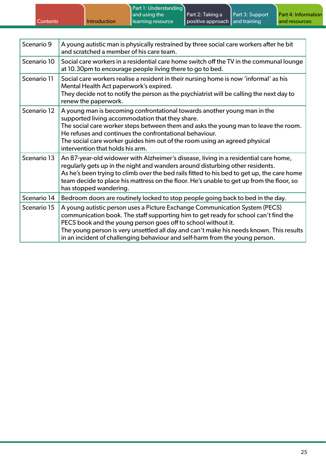| Part 2: Taking a<br>Part 3: Support<br>and using the<br>positive approach and training<br>Introduction<br>l Contents<br>learning resource<br>and resources |  | Part 1: Understanding |  |                            |
|------------------------------------------------------------------------------------------------------------------------------------------------------------|--|-----------------------|--|----------------------------|
|                                                                                                                                                            |  |                       |  | <b>Part 4: Information</b> |
|                                                                                                                                                            |  |                       |  |                            |

| Scenario 9  | A young autistic man is physically restrained by three social care workers after he bit<br>and scratched a member of his care team.                                                                                                                                                                                                                                                                            |
|-------------|----------------------------------------------------------------------------------------------------------------------------------------------------------------------------------------------------------------------------------------------------------------------------------------------------------------------------------------------------------------------------------------------------------------|
| Scenario 10 | Social care workers in a residential care home switch off the TV in the communal lounge<br>at 10.30pm to encourage people living there to go to bed.                                                                                                                                                                                                                                                           |
| Scenario 11 | Social care workers realise a resident in their nursing home is now 'informal' as his<br>Mental Health Act paperwork's expired.<br>They decide not to notify the person as the psychiatrist will be calling the next day to<br>renew the paperwork.                                                                                                                                                            |
| Scenario 12 | A young man is becoming confrontational towards another young man in the<br>supported living accommodation that they share.<br>The social care worker steps between them and asks the young man to leave the room.<br>He refuses and continues the confrontational behaviour.<br>The social care worker guides him out of the room using an agreed physical<br>intervention that holds his arm.                |
| Scenario 13 | An 87-year-old widower with Alzheimer's disease, living in a residential care home,<br>regularly gets up in the night and wanders around disturbing other residents.<br>As he's been trying to climb over the bed rails fitted to his bed to get up, the care home<br>team decide to place his mattress on the floor. He's unable to get up from the floor, so<br>has stopped wandering.                       |
| Scenario 14 | Bedroom doors are routinely locked to stop people going back to bed in the day.                                                                                                                                                                                                                                                                                                                                |
| Scenario 15 | A young autistic person uses a Picture Exchange Communication System (PECS)<br>communication book. The staff supporting him to get ready for school can't find the<br>PECS book and the young person goes off to school without it.<br>The young person is very unsettled all day and can't make his needs known. This results<br>in an incident of challenging behaviour and self-harm from the young person. |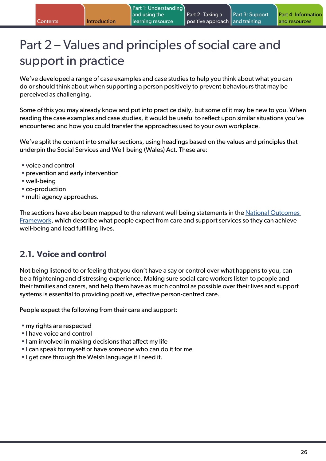## <span id="page-25-0"></span>Part 2 – Values and principles of social care and support in practice

We've developed a range of case examples and case studies to help you think about what you can do or should think about when supporting a person positively to prevent behaviours that may be perceived as challenging.

Some of this you may already know and put into practice daily, but some of it may be new to you. When reading the case examples and case studies, it would be useful to reflect upon similar situations you've encountered and how you could transfer the approaches used to your own workplace.

We've split the content into smaller sections, using headings based on the values and principles that underpin the Social Services and Well-being (Wales) Act. These are:

- voice and control
- prevention and early intervention
- well-being
- co-production
- multi-agency approaches.

The sections have also been mapped to the relevant well-being statements in the [National Outcomes](https://gov.wales/sites/default/files/publications/2019-05/the-national-outcomes-framework-for-people-who-need-care-and-support-and-carers-who-need-support.pdf)  [Framework,](https://gov.wales/sites/default/files/publications/2019-05/the-national-outcomes-framework-for-people-who-need-care-and-support-and-carers-who-need-support.pdf) which describe what people expect from care and support services so they can achieve well-being and lead fulfilling lives.

### **2.1. Voice and control**

Not being listened to or feeling that you don't have a say or control over what happens to you, can be a frightening and distressing experience. Making sure social care workers listen to people and their families and carers, and help them have as much control as possible over their lives and support systems is essential to providing positive, effective person-centred care.

People expect the following from their care and support:

- my rights are respected
- I have voice and control
- I am involved in making decisions that affect my life
- I can speak for myself or have someone who can do it for me
- I get care through the Welsh language if I need it.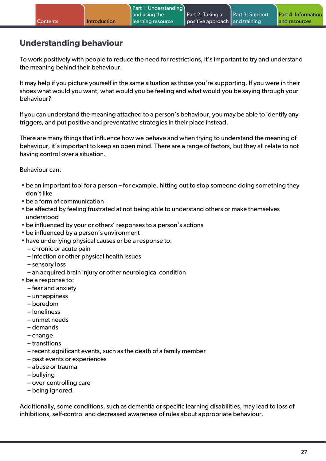## <span id="page-26-0"></span>**Understanding behaviour**

To work positively with people to reduce the need for restrictions, it's important to try and understand the meaning behind their behaviour.

It may help if you picture yourself in the same situation as those you're supporting. If you were in their shoes what would you want, what would you be feeling and what would you be saying through your behaviour?

If you can understand the meaning attached to a person's behaviour, you may be able to identify any triggers, and put positive and preventative strategies in their place instead.

There are many things that influence how we behave and when trying to understand the meaning of behaviour, it's important to keep an open mind. There are a range of factors, but they all relate to not having control over a situation.

Behaviour can:

- be an important tool for a person for example, hitting out to stop someone doing something they don't like
- be a form of communication
- be affected by feeling frustrated at not being able to understand others or make themselves understood
- be influenced by your or others' responses to a person's actions
- be influenced by a person's environment
- have underlying physical causes or be a response to:
	- **–** chronic or acute pain
	- **–** infection or other physical health issues
	- **–** sensory loss
	- **–** an acquired brain injury or other neurological condition
- be a response to:
	- **–** fear and anxiety
	- **–** unhappiness
	- **–** boredom
	- **–** loneliness
	- **–** unmet needs
	- **–** demands
	- **–** change
	- **–** transitions
	- **–** recent significant events, such as the death of a family member
	- **–** past events or experiences
	- **–** abuse or trauma
	- **–** bullying
	- **–** over-controlling care
	- **–** being ignored.

Additionally, some conditions, such as dementia or specific learning disabilities, may lead to loss of inhibitions, self-control and decreased awareness of rules about appropriate behaviour.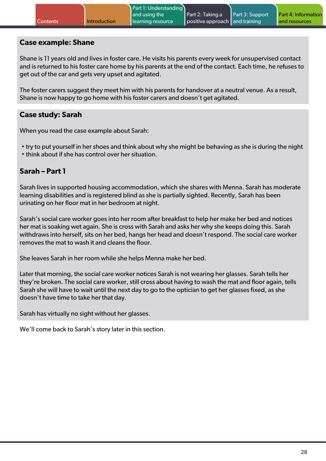#### **Case example: Shane**

Shane is 11 years old and lives in foster care. He visits his parents every week for unsupervised contact and is returned to his foster care home by his parents at the end of the contact. Each time, he refuses to get out of the car and gets very upset and agitated.

The foster carers suggest they meet him with his parents for handover at a neutral venue. As a result, Shane is now happy to go home with his foster carers and doesn't get agitated.

#### **Case study: Sarah**

When you read the case example about Sarah:

• try to put yourself in her shoes and think about why she might be behaving as she is during the night • think about if she has control over her situation.

#### **Sarah – Part 1**

Sarah lives in supported housing accommodation, which she shares with Menna. Sarah has moderate learning disabilities and is registered blind as she is partially sighted. Recently, Sarah has been urinating on her floor mat in her bedroom at night.

Sarah's social care worker goes into her room after breakfast to help her make her bed and notices her mat is soaking wet again. She is cross with Sarah and asks her why she keeps doing this. Sarah withdraws into herself, sits on her bed, hangs her head and doesn't respond. The social care worker removes the mat to wash it and cleans the floor.

She leaves Sarah in her room while she helps Menna make her bed.

Later that morning, the social care worker notices Sarah is not wearing her glasses. Sarah tells her they're broken. The social care worker, still cross about having to wash the mat and floor again, tells Sarah she will have to wait until the next day to go to the optician to get her glasses fixed, as she doesn't have time to take her that day.

Sarah has virtually no sight without her glasses.

We'll come back to Sarah's story later in this section.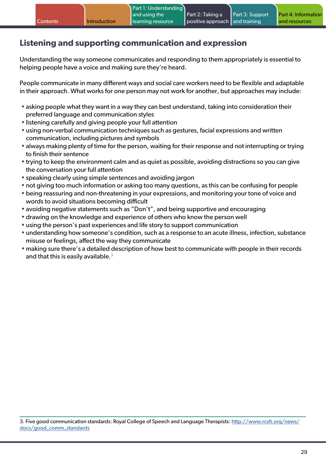## <span id="page-28-0"></span>**Listening and supporting communication and expression**

Understanding the way someone communicates and responding to them appropriately is essential to helping people have a voice and making sure they're heard.

People communicate in many different ways and social care workers need to be flexible and adaptable in their approach. What works for one person may not work for another, but approaches may include:

- asking people what they want in a way they can best understand, taking into consideration their preferred language and communication styles
- listening carefully and giving people your full attention
- using non-verbal communication techniques such as gestures, facial expressions and written communication, including pictures and symbols
- always making plenty of time for the person, waiting for their response and not interrupting or trying to finish their sentence
- trying to keep the environment calm and as quiet as possible, avoiding distractions so you can give the conversation your full attention
- speaking clearly using simple sentences and avoiding jargon
- not giving too much information or asking too many questions, as this can be confusing for people
- being reassuring and non-threatening in your expressions, and monitoring your tone of voice and words to avoid situations becoming difficult
- avoiding negative statements such as "Don't", and being supportive and encouraging
- drawing on the knowledge and experience of others who know the person well
- using the person's past experiences and life story to support communication
- understanding how someone's condition, such as a response to an acute illness, infection, substance misuse or feelings, affect the way they communicate
- making sure there's a detailed description of how best to communicate with people in their records and that this is easily available. $3$

<sup>3.</sup> Five good communication standards: Royal College of Speech and Language Therapists: [http://www.rcslt.org/news/](https://www.rcslt.org/wp-content/uploads/media/Project/RCSLT/5-good-comms-standards-easy-read.pdf) [docs/good\\_comm\\_standards](https://www.rcslt.org/wp-content/uploads/media/Project/RCSLT/5-good-comms-standards-easy-read.pdf)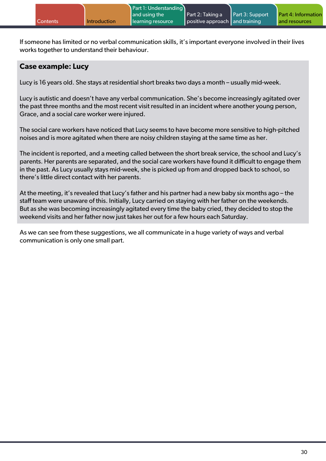If someone has limited or no verbal communication skills, it's important everyone involved in their lives works together to understand their behaviour.

#### **Case example: Lucy**

Lucy is 16 years old. She stays at residential short breaks two days a month – usually mid-week.

Lucy is autistic and doesn't have any verbal communication. She's become increasingly agitated over the past three months and the most recent visit resulted in an incident where another young person, Grace, and a social care worker were injured.

The social care workers have noticed that Lucy seems to have become more sensitive to high-pitched noises and is more agitated when there are noisy children staying at the same time as her.

The incident is reported, and a meeting called between the short break service, the school and Lucy's parents. Her parents are separated, and the social care workers have found it difficult to engage them in the past. As Lucy usually stays mid-week, she is picked up from and dropped back to school, so there's little direct contact with her parents.

At the meeting, it's revealed that Lucy's father and his partner had a new baby six months ago – the staff team were unaware of this. Initially, Lucy carried on staying with her father on the weekends. But as she was becoming increasingly agitated every time the baby cried, they decided to stop the weekend visits and her father now just takes her out for a few hours each Saturday.

As we can see from these suggestions, we all communicate in a huge variety of ways and verbal communication is only one small part.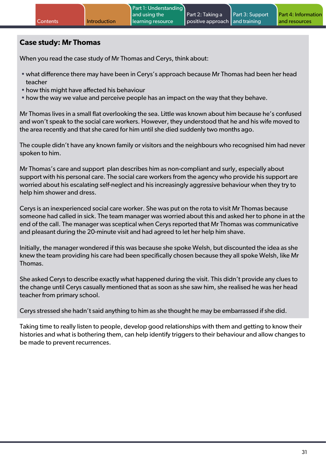#### **Case study: Mr Thomas**

When you read the case study of Mr Thomas and Cerys, think about:

- what difference there may have been in Cerys's approach because Mr Thomas had been her head teacher
- how this might have affected his behaviour
- how the way we value and perceive people has an impact on the way that they behave.

Mr Thomas lives in a small flat overlooking the sea. Little was known about him because he's confused and won't speak to the social care workers. However, they understood that he and his wife moved to the area recently and that she cared for him until she died suddenly two months ago.

The couple didn't have any known family or visitors and the neighbours who recognised him had never spoken to him.

Mr Thomas's care and support plan describes him as non-compliant and surly, especially about support with his personal care. The social care workers from the agency who provide his support are worried about his escalating self-neglect and his increasingly aggressive behaviour when they try to help him shower and dress.

Cerys is an inexperienced social care worker. She was put on the rota to visit Mr Thomas because someone had called in sick. The team manager was worried about this and asked her to phone in at the end of the call. The manager was sceptical when Cerys reported that Mr Thomas was communicative and pleasant during the 20-minute visit and had agreed to let her help him shave.

Initially, the manager wondered if this was because she spoke Welsh, but discounted the idea as she knew the team providing his care had been specifically chosen because they all spoke Welsh, like Mr Thomas.

She asked Cerys to describe exactly what happened during the visit. This didn't provide any clues to the change until Cerys casually mentioned that as soon as she saw him, she realised he was her head teacher from primary school.

Cerys stressed she hadn't said anything to him as she thought he may be embarrassed if she did.

Taking time to really listen to people, develop good relationships with them and getting to know their histories and what is bothering them, can help identify triggers to their behaviour and allow changes to be made to prevent recurrences.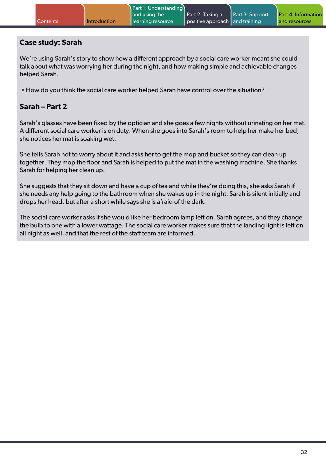#### **Case study: Sarah**

We're using Sarah's story to show how a different approach by a social care worker meant she could talk about what was worrying her during the night, and how making simple and achievable changes helped Sarah.

• How do you think the social care worker helped Sarah have control over the situation?

#### **Sarah – Part 2**

Sarah's glasses have been fixed by the optician and she goes a few nights without urinating on her mat. A different social care worker is on duty. When she goes into Sarah's room to help her make her bed, she notices her mat is soaking wet.

She tells Sarah not to worry about it and asks her to get the mop and bucket so they can clean up together. They mop the floor and Sarah is helped to put the mat in the washing machine. She thanks Sarah for helping her clean up.

She suggests that they sit down and have a cup of tea and while they're doing this, she asks Sarah if she needs any help going to the bathroom when she wakes up in the night. Sarah is silent initially and drops her head, but after a short while says she is afraid of the dark.

The social care worker asks if she would like her bedroom lamp left on. Sarah agrees, and they change the bulb to one with a lower wattage. The social care worker makes sure that the landing light is left on all night as well, and that the rest of the staff team are informed.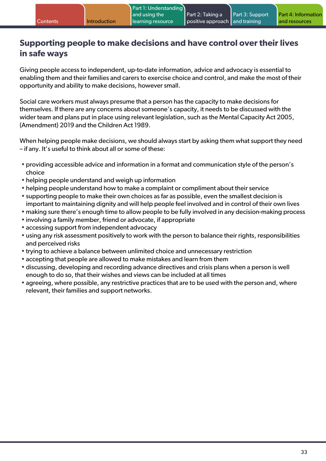## <span id="page-32-0"></span>**Supporting people to make decisions and have control over their lives in safe ways**

Giving people access to independent, up-to-date information, advice and advocacy is essential to enabling them and their families and carers to exercise choice and control, and make the most of their opportunity and ability to make decisions, however small.

Social care workers must always presume that a person has the capacity to make decisions for themselves. If there are any concerns about someone's capacity, it needs to be discussed with the wider team and plans put in place using relevant legislation, such as the Mental Capacity Act 2005, (Amendment) 2019 and the Children Act 1989.

When helping people make decisions, we should always start by asking them what support they need – if any. It's useful to think about all or some of these:

- providing accessible advice and information in a format and communication style of the person's choice
- helping people understand and weigh up information
- helping people understand how to make a complaint or compliment about their service
- supporting people to make their own choices as far as possible, even the smallest decision is important to maintaining dignity and will help people feel involved and in control of their own lives
- making sure there's enough time to allow people to be fully involved in any decision-making process
- involving a family member, friend or advocate, if appropriate
- accessing support from independent advocacy
- using any risk assessment positively to work with the person to balance their rights, responsibilities and perceived risks
- trying to achieve a balance between unlimited choice and unnecessary restriction
- accepting that people are allowed to make mistakes and learn from them
- discussing, developing and recording advance directives and crisis plans when a person is well enough to do so, that their wishes and views can be included at all times
- agreeing, where possible, any restrictive practices that are to be used with the person and, where relevant, their families and support networks.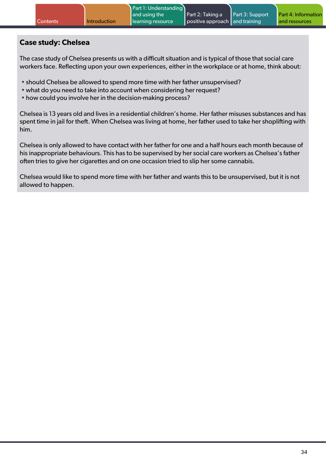#### **Case study: Chelsea**

The case study of Chelsea presents us with a difficult situation and is typical of those that social care workers face. Reflecting upon your own experiences, either in the workplace or at home, think about:

- should Chelsea be allowed to spend more time with her father unsupervised?
- what do you need to take into account when considering her request?
- how could you involve her in the decision-making process?

Chelsea is 13 years old and lives in a residential children's home. Her father misuses substances and has spent time in jail for theft. When Chelsea was living at home, her father used to take her shoplifting with him.

Chelsea is only allowed to have contact with her father for one and a half hours each month because of his inappropriate behaviours. This has to be supervised by her social care workers as Chelsea's father often tries to give her cigarettes and on one occasion tried to slip her some cannabis.

Chelsea would like to spend more time with her father and wants this to be unsupervised, but it is not allowed to happen.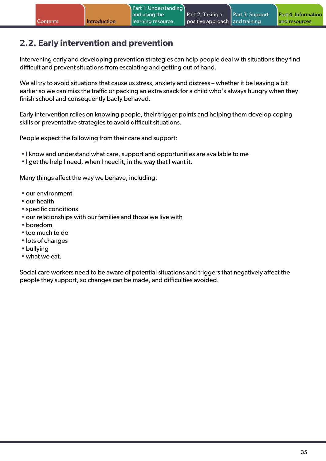## <span id="page-34-0"></span>**2.2. Early intervention and prevention**

Intervening early and developing prevention strategies can help people deal with situations they find difficult and prevent situations from escalating and getting out of hand.

We all try to avoid situations that cause us stress, anxiety and distress – whether it be leaving a bit earlier so we can miss the traffic or packing an extra snack for a child who's always hungry when they finish school and consequently badly behaved.

Early intervention relies on knowing people, their trigger points and helping them develop coping skills or preventative strategies to avoid difficult situations.

People expect the following from their care and support:

- I know and understand what care, support and opportunities are available to me
- I get the help I need, when I need it, in the way that I want it.

Many things affect the way we behave, including:

- our environment
- our health
- specific conditions
- our relationships with our families and those we live with
- boredom
- too much to do
- lots of changes
- bullying
- what we eat.

Social care workers need to be aware of potential situations and triggers that negatively affect the people they support, so changes can be made, and difficulties avoided.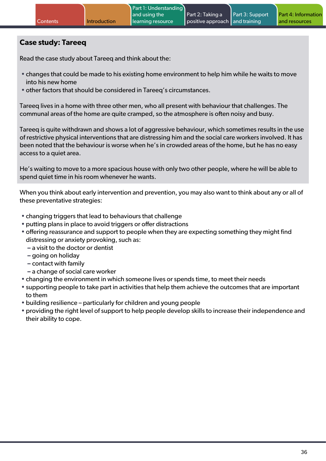#### **Case study: Tareeq**

Read the case study about Tareeq and think about the:

- changes that could be made to his existing home environment to help him while he waits to move into his new home
- other factors that should be considered in Tareeq's circumstances.

Tareeq lives in a home with three other men, who all present with behaviour that challenges. The communal areas of the home are quite cramped, so the atmosphere is often noisy and busy.

Tareeq is quite withdrawn and shows a lot of aggressive behaviour, which sometimes results in the use of restrictive physical interventions that are distressing him and the social care workers involved. It has been noted that the behaviour is worse when he's in crowded areas of the home, but he has no easy access to a quiet area.

He's waiting to move to a more spacious house with only two other people, where he will be able to spend quiet time in his room whenever he wants.

When you think about early intervention and prevention, you may also want to think about any or all of these preventative strategies:

- changing triggers that lead to behaviours that challenge
- putting plans in place to avoid triggers or offer distractions
- offering reassurance and support to people when they are expecting something they might find distressing or anxiety provoking, such as:
	- **–** a visit to the doctor or dentist
	- **–** going on holiday
	- **–** contact with family
	- **–** a change of social care worker
- changing the environment in which someone lives or spends time, to meet their needs
- supporting people to take part in activities that help them achieve the outcomes that are important to them
- building resilience particularly for children and young people
- providing the right level of support to help people develop skills to increase their independence and their ability to cope.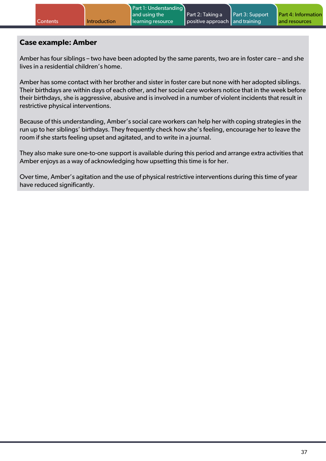|  | <b>Contents</b> | <b>Introduction</b> | Part 1: Understanding<br>and using the<br>learning resource | Part 2: Taking a<br>positive approach and training | Part 3: Support | <b>Part 4: Information</b><br>and resources |
|--|-----------------|---------------------|-------------------------------------------------------------|----------------------------------------------------|-----------------|---------------------------------------------|
|--|-----------------|---------------------|-------------------------------------------------------------|----------------------------------------------------|-----------------|---------------------------------------------|

#### **Case example: Amber**

Amber has four siblings – two have been adopted by the same parents, two are in foster care – and she lives in a residential children's home.

Amber has some contact with her brother and sister in foster care but none with her adopted siblings. Their birthdays are within days of each other, and her social care workers notice that in the week before their birthdays, she is aggressive, abusive and is involved in a number of violent incidents that result in restrictive physical interventions.

Because of this understanding, Amber's social care workers can help her with coping strategies in the run up to her siblings' birthdays. They frequently check how she's feeling, encourage her to leave the room if she starts feeling upset and agitated, and to write in a journal.

They also make sure one-to-one support is available during this period and arrange extra activities that Amber enjoys as a way of acknowledging how upsetting this time is for her.

Over time, Amber's agitation and the use of physical restrictive interventions during this time of year have reduced significantly.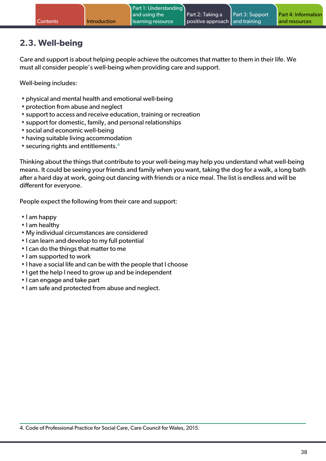# **2.3. Well-being**

Care and support is about helping people achieve the outcomes that matter to them in their life. We must all consider people's well-being when providing care and support.

Well-being includes:

- physical and mental health and emotional well-being
- protection from abuse and neglect
- support to access and receive education, training or recreation
- support for domestic, family, and personal relationships
- social and economic well-being
- having suitable living accommodation
- $\bullet$  securing rights and entitlements.<sup>4</sup>

Thinking about the things that contribute to your well-being may help you understand what well-being means. It could be seeing your friends and family when you want, taking the dog for a walk, a long bath after a hard day at work, going out dancing with friends or a nice meal. The list is endless and will be different for everyone.

People expect the following from their care and support:

- I am happy
- I am healthy
- My individual circumstances are considered
- I can learn and develop to my full potential
- I can do the things that matter to me
- I am supported to work
- I have a social life and can be with the people that I choose
- I get the help I need to grow up and be independent
- I can engage and take part
- I am safe and protected from abuse and neglect.

4. Code of Professional Practice for Social Care, Care Council for Wales, 2015.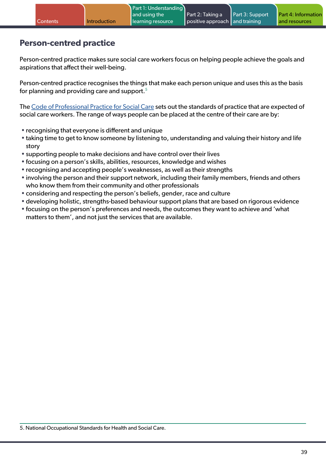### **Person-centred practice**

Person-centred practice makes sure social care workers focus on helping people achieve the goals and aspirations that affect their well-being.

Person-centred practice recognises the things that make each person unique and uses this as the basis for planning and providing care and support.<sup>5</sup>

The [Code of Professional Practice for Social Care](https://socialcare.wales/dealing-with-concerns/codes-of-practice-and-guidance) sets out the standards of practice that are expected of social care workers. The range of ways people can be placed at the centre of their care are by:

- recognising that everyone is different and unique
- taking time to get to know someone by listening to, understanding and valuing their history and life story
- supporting people to make decisions and have control over their lives
- focusing on a person's skills, abilities, resources, knowledge and wishes
- recognising and accepting people's weaknesses, as well as their strengths
- involving the person and their support network, including their family members, friends and others who know them from their community and other professionals
- considering and respecting the person's beliefs, gender, race and culture
- developing holistic, strengths-based behaviour support plans that are based on rigorous evidence
- focusing on the person's preferences and needs, the outcomes they want to achieve and 'what matters to them', and not just the services that are available.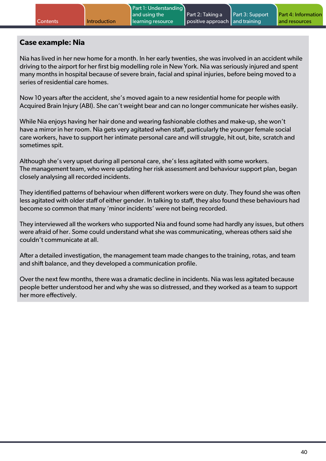#### **Case example: Nia**

Nia has lived in her new home for a month. In her early twenties, she was involved in an accident while driving to the airport for her first big modelling role in New York. Nia was seriously injured and spent many months in hospital because of severe brain, facial and spinal injuries, before being moved to a series of residential care homes.

Now 10 years after the accident, she's moved again to a new residential home for people with Acquired Brain Injury (ABI). She can't weight bear and can no longer communicate her wishes easily.

While Nia enjoys having her hair done and wearing fashionable clothes and make-up, she won't have a mirror in her room. Nia gets very agitated when staff, particularly the younger female social care workers, have to support her intimate personal care and will struggle, hit out, bite, scratch and sometimes spit.

Although she's very upset during all personal care, she's less agitated with some workers. The management team, who were updating her risk assessment and behaviour support plan, began closely analysing all recorded incidents.

They identified patterns of behaviour when different workers were on duty. They found she was often less agitated with older staff of either gender. In talking to staff, they also found these behaviours had become so common that many 'minor incidents' were not being recorded.

They interviewed all the workers who supported Nia and found some had hardly any issues, but others were afraid of her. Some could understand what she was communicating, whereas others said she couldn't communicate at all.

After a detailed investigation, the management team made changes to the training, rotas, and team and shift balance, and they developed a communication profile.

Over the next few months, there was a dramatic decline in incidents. Nia was less agitated because people better understood her and why she was so distressed, and they worked as a team to support her more effectively.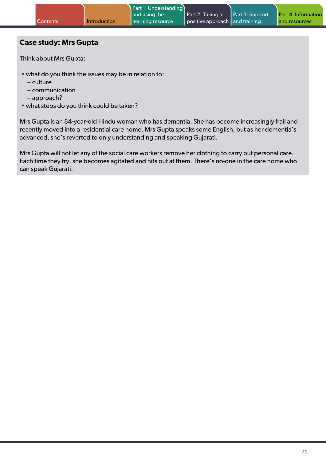### **Case study: Mrs Gupta**

Think about Mrs Gupta:

- what do you think the issues may be in relation to:
	- **–** culture
	- **–** communication
	- **–** approach?
- what steps do you think could be taken?

Mrs Gupta is an 84-year-old Hindu woman who has dementia. She has become increasingly frail and recently moved into a residential care home. Mrs Gupta speaks some English, but as her dementia's advanced, she's reverted to only understanding and speaking Gujarati.

Mrs Gupta will not let any of the social care workers remove her clothing to carry out personal care. Each time they try, she becomes agitated and hits out at them. There's no-one in the care home who can speak Gujarati.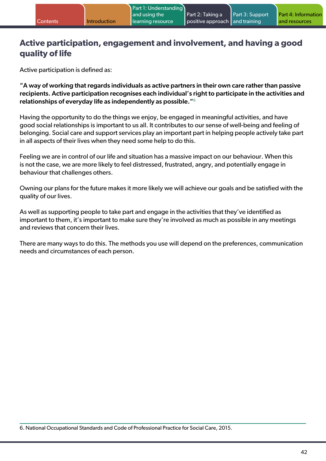### **Active participation, engagement and involvement, and having a good quality of life**

Active participation is defined as:

"A way of working that regards individuals as active partners in their own care rather than passive recipients. Active participation recognises each individual's right to participate in the activities and relationships of everyday life as independently as possible."<sup>6</sup>

Having the opportunity to do the things we enjoy, be engaged in meaningful activities, and have good social relationships is important to us all. It contributes to our sense of well-being and feeling of belonging. Social care and support services play an important part in helping people actively take part in all aspects of their lives when they need some help to do this.

Feeling we are in control of our life and situation has a massive impact on our behaviour. When this is not the case, we are more likely to feel distressed, frustrated, angry, and potentially engage in behaviour that challenges others.

Owning our plans for the future makes it more likely we will achieve our goals and be satisfied with the quality of our lives.

As well as supporting people to take part and engage in the activities that they've identified as important to them, it's important to make sure they're involved as much as possible in any meetings and reviews that concern their lives.

There are many ways to do this. The methods you use will depend on the preferences, communication needs and circumstances of each person.

6. National Occupational Standards and Code of Professional Practice for Social Care, 2015.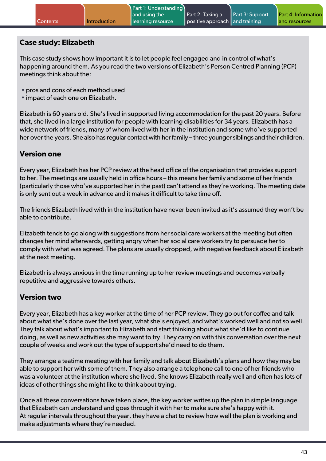### **Case study: Elizabeth**

This case study shows how important it is to let people feel engaged and in control of what's happening around them. As you read the two versions of Elizabeth's Person Centred Planning (PCP) meetings think about the:

- pros and cons of each method used
- impact of each one on Elizabeth.

Elizabeth is 60 years old. She's lived in supported living accommodation for the past 20 years. Before that, she lived in a large institution for people with learning disabilities for 34 years. Elizabeth has a wide network of friends, many of whom lived with her in the institution and some who've supported her over the years. She also has regular contact with her family – three younger siblings and their children.

### **Version one**

Every year, Elizabeth has her PCP review at the head office of the organisation that provides support to her. The meetings are usually held in office hours – this means her family and some of her friends (particularly those who've supported her in the past) can't attend as they're working. The meeting date is only sent out a week in advance and it makes it difficult to take time off.

The friends Elizabeth lived with in the institution have never been invited as it's assumed they won't be able to contribute.

Elizabeth tends to go along with suggestions from her social care workers at the meeting but often changes her mind afterwards, getting angry when her social care workers try to persuade her to comply with what was agreed. The plans are usually dropped, with negative feedback about Elizabeth at the next meeting.

Elizabeth is always anxious in the time running up to her review meetings and becomes verbally repetitive and aggressive towards others.

### **Version two**

Every year, Elizabeth has a key worker at the time of her PCP review. They go out for coffee and talk about what she's done over the last year, what she's enjoyed, and what's worked well and not so well. They talk about what's important to Elizabeth and start thinking about what she'd like to continue doing, as well as new activities she may want to try. They carry on with this conversation over the next couple of weeks and work out the type of support she'd need to do them.

They arrange a teatime meeting with her family and talk about Elizabeth's plans and how they may be able to support her with some of them. They also arrange a telephone call to one of her friends who was a volunteer at the institution where she lived. She knows Elizabeth really well and often has lots of ideas of other things she might like to think about trying.

Once all these conversations have taken place, the key worker writes up the plan in simple language that Elizabeth can understand and goes through it with her to make sure she's happy with it. At regular intervals throughout the year, they have a chat to review how well the plan is working and make adjustments where they're needed.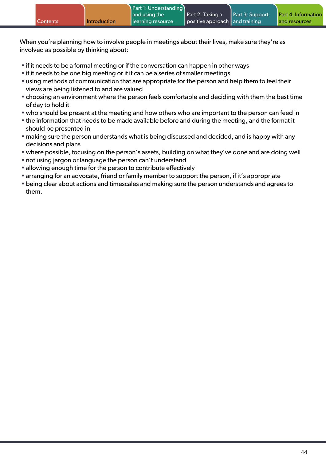|                 |              | Part 1: Understanding |                                |                        |                            |
|-----------------|--------------|-----------------------|--------------------------------|------------------------|----------------------------|
|                 |              | and using the         | Part 2: Taking a               | <b>Part 3: Support</b> | <b>Part 4: Information</b> |
| <b>Contents</b> | Introduction | learning resource     | positive approach and training |                        | and resources              |

When you're planning how to involve people in meetings about their lives, make sure they're as involved as possible by thinking about:

- if it needs to be a formal meeting or if the conversation can happen in other ways
- if it needs to be one big meeting or if it can be a series of smaller meetings
- using methods of communication that are appropriate for the person and help them to feel their views are being listened to and are valued
- choosing an environment where the person feels comfortable and deciding with them the best time of day to hold it
- who should be present at the meeting and how others who are important to the person can feed in
- the information that needs to be made available before and during the meeting, and the format it should be presented in
- making sure the person understands what is being discussed and decided, and is happy with any decisions and plans
- where possible, focusing on the person's assets, building on what they've done and are doing well
- not using jargon or language the person can't understand
- allowing enough time for the person to contribute effectively
- arranging for an advocate, friend or family member to support the person, if it's appropriate
- being clear about actions and timescales and making sure the person understands and agrees to them.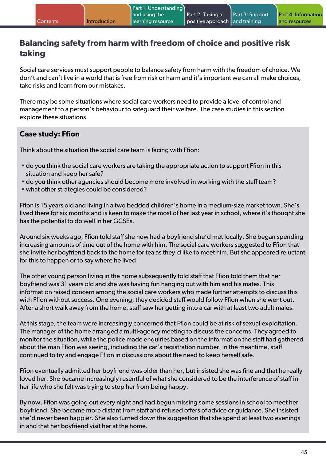# **Balancing safety from harm with freedom of choice and positive risk taking**

Social care services must support people to balance safety from harm with the freedom of choice. We don't and can't live in a world that is free from risk or harm and it's important we can all make choices, take risks and learn from our mistakes.

There may be some situations where social care workers need to provide a level of control and management to a person's behaviour to safeguard their welfare. The case studies in this section explore these situations.

### **Case study: Ffion**

Think about the situation the social care team is facing with Ffion:

- do you think the social care workers are taking the appropriate action to support Ffion in this situation and keep her safe?
- do you think other agencies should become more involved in working with the staff team?
- what other strategies could be considered?

Ffion is 15 years old and living in a two bedded children's home in a medium-size market town. She's lived there for six months and is keen to make the most of her last year in school, where it's thought she has the potential to do well in her GCSEs.

Around six weeks ago, Ffion told staff she now had a boyfriend she'd met locally. She began spending increasing amounts of time out of the home with him. The social care workers suggested to Ffion that she invite her boyfriend back to the home for tea as they'd like to meet him. But she appeared reluctant for this to happen or to say where he lived.

The other young person living in the home subsequently told staff that Ffion told them that her boyfriend was 31 years old and she was having fun hanging out with him and his mates. This information raised concern among the social care workers who made further attempts to discuss this with Ffion without success. One evening, they decided staff would follow Ffion when she went out. After a short walk away from the home, staff saw her getting into a car with at least two adult males.

At this stage, the team were increasingly concerned that Ffion could be at risk of sexual exploitation. The manager of the home arranged a multi-agency meeting to discuss the concerns. They agreed to monitor the situation, while the police made enquiries based on the information the staff had gathered about the man Ffion was seeing, including the car's registration number. In the meantime, staff continued to try and engage Ffion in discussions about the need to keep herself safe.

Ffion eventually admitted her boyfriend was older than her, but insisted she was fine and that he really loved her. She became increasingly resentful of what she considered to be the interference of staff in her life who she felt was trying to stop her from being happy.

By now, Ffion was going out every night and had begun missing some sessions in school to meet her boyfriend. She became more distant from staff and refused offers of advice or guidance. She insisted she'd never been happier. She also turned down the suggestion that she spend at least two evenings in and that her boyfriend visit her at the home.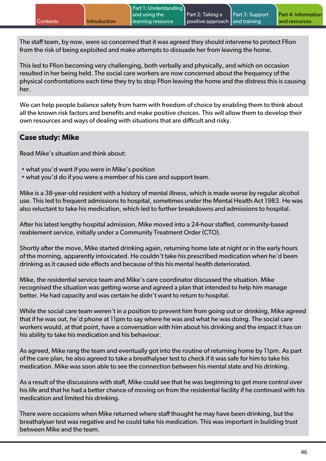The staff team, by now, were so concerned that it was agreed they should intervene to protect Ffion from the risk of being exploited and make attempts to dissuade her from leaving the home.

This led to Ffion becoming very challenging, both verbally and physically, and which on occasion resulted in her being held. The social care workers are now concerned about the frequency of the physical confrontations each time they try to stop Ffion leaving the home and the distress this is causing her.

We can help people balance safety from harm with freedom of choice by enabling them to think about all the known risk factors and benefits and make positive choices. This will allow them to develop their own resources and ways of dealing with situations that are difficult and risky.

### **Case study: Mike**

Read Mike's situation and think about:

- what you'd want if you were in Mike's position
- what you'd do if you were a member of his care and support team.

Mike is a 38-year-old resident with a history of mental illness, which is made worse by regular alcohol use. This led to frequent admissions to hospital, sometimes under the Mental Health Act 1983. He was also reluctant to take his medication, which led to further breakdowns and admissions to hospital.

After his latest lengthy hospital admission, Mike moved into a 24-hour staffed, community-based reablement service, initially under a Community Treatment Order (CTO).

Shortly after the move, Mike started drinking again, returning home late at night or in the early hours of the morning, apparently intoxicated. He couldn't take his prescribed medication when he'd been drinking as it caused side effects and because of this his mental health deteriorated.

Mike, the residential service team and Mike's care coordinator discussed the situation. Mike recognised the situation was getting worse and agreed a plan that intended to help him manage better. He had capacity and was certain he didn't want to return to hospital.

While the social care team weren't in a position to prevent him from going out or drinking, Mike agreed that if he was out, he'd phone at 11pm to say where he was and what he was doing. The social care workers would, at that point, have a conversation with him about his drinking and the impact it has on his ability to take his medication and his behaviour.

As agreed, Mike rang the team and eventually got into the routine of returning home by 11pm. As part of the care plan, he also agreed to take a breathalyser test to check if it was safe for him to take his medication. Mike was soon able to see the connection between his mental state and his drinking.

As a result of the discussions with staff, Mike could see that he was beginning to get more control over his life and that he had a better chance of moving on from the residential facility if he continued with his medication and limited his drinking.

There were occasions when Mike returned where staff thought he may have been drinking, but the breathalyser test was negative and he could take his medication. This was important in building trust between Mike and the team.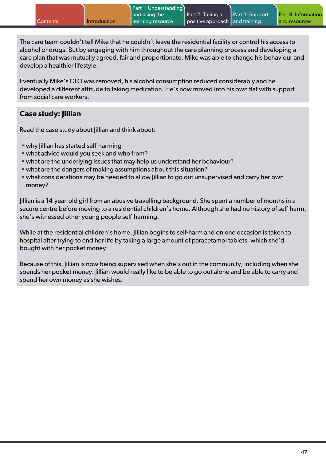The care team couldn't tell Mike that he couldn't leave the residential facility or control his access to alcohol or drugs. But by engaging with him throughout the care planning process and developing a care plan that was mutually agreed, fair and proportionate, Mike was able to change his behaviour and develop a healthier lifestyle.

Eventually Mike's CTO was removed, his alcohol consumption reduced considerably and he developed a different attitude to taking medication. He's now moved into his own flat with support from social care workers.

### **Case study: Jillian**

Read the case study about *lillian* and think about:

- why Jillian has started self-harming
- what advice would you seek and who from?
- what are the underlying issues that may help us understand her behaviour?
- what are the dangers of making assumptions about this situation?
- what considerations may be needed to allow lillian to go out unsupervised and carry her own money?

Jillian is a 14-year-old girl from an abusive travelling background. She spent a number of months in a secure centre before moving to a residential children's home. Although she had no history of self-harm, she's witnessed other young people self-harming.

While at the residential children's home, Jillian begins to self-harm and on one occasion is taken to hospital after trying to end her life by taking a large amount of paracetamol tablets, which she'd bought with her pocket money.

Because of this, Jillian is now being supervised when she's out in the community, including when she spends her pocket money. Jillian would really like to be able to go out alone and be able to carry and spend her own money as she wishes.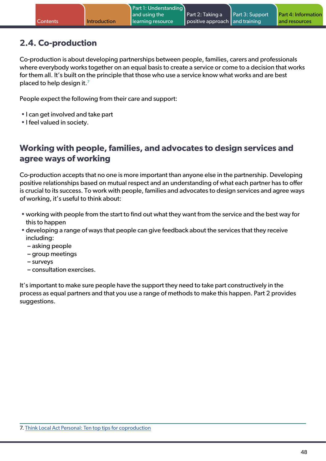# **2.4. Co-production**

Co-production is about developing partnerships between people, families, carers and professionals where everybody works together on an equal basis to create a service or come to a decision that works for them all. It's built on the principle that those who use a service know what works and are best placed to help design it.<sup>7</sup>

People expect the following from their care and support:

- I can get involved and take part
- I feel valued in society.

### **Working with people, families, and advocates to design services and agree ways of working**

Co-production accepts that no one is more important than anyone else in the partnership. Developing positive relationships based on mutual respect and an understanding of what each partner has to offer is crucial to its success. To work with people, families and advocates to design services and agree ways of working, it's useful to think about:

- working with people from the start to find out what they want from the service and the best way for this to happen
- developing a range of ways that people can give feedback about the services that they receive including:
	- **–** asking people
	- **–** group meetings
	- **–** surveys
	- **–** consultation exercises.

It's important to make sure people have the support they need to take part constructively in the process as equal partners and that you use a range of methods to make this happen. Part 2 provides suggestions.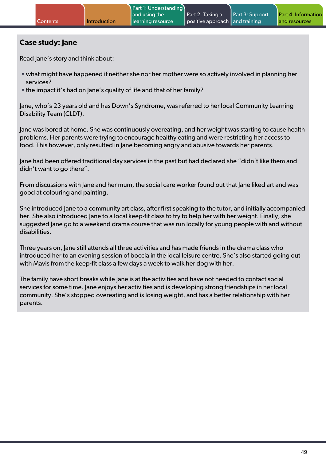### **Case study: Jane**

Read Jane's story and think about:

- what might have happened if neither she nor her mother were so actively involved in planning her services?
- the impact it's had on Jane's quality of life and that of her family?

Jane, who's 23 years old and has Down's Syndrome, was referred to her local Community Learning Disability Team (CLDT).

Jane was bored at home. She was continuously overeating, and her weight was starting to cause health problems. Her parents were trying to encourage healthy eating and were restricting her access to food. This however, only resulted in Jane becoming angry and abusive towards her parents.

Jane had been offered traditional day services in the past but had declared she "didn't like them and didn't want to go there".

From discussions with Jane and her mum, the social care worker found out that Jane liked art and was good at colouring and painting.

She introduced Jane to a community art class, after first speaking to the tutor, and initially accompanied her. She also introduced Jane to a local keep-fit class to try to help her with her weight. Finally, she suggested Jane go to a weekend drama course that was run locally for young people with and without disabilities.

Three years on, Jane still attends all three activities and has made friends in the drama class who introduced her to an evening session of boccia in the local leisure centre. She's also started going out with Mavis from the keep-fit class a few days a week to walk her dog with her.

The family have short breaks while Jane is at the activities and have not needed to contact social services for some time. Jane enjoys her activities and is developing strong friendships in her local community. She's stopped overeating and is losing weight, and has a better relationship with her parents.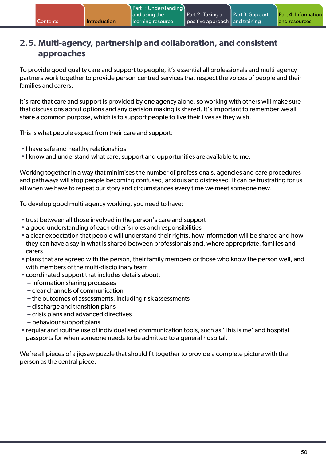### **2.5. Multi-agency, partnership and collaboration, and consistent approaches**

To provide good quality care and support to people, it's essential all professionals and multi-agency partners work together to provide person-centred services that respect the voices of people and their families and carers.

It's rare that care and support is provided by one agency alone, so working with others will make sure that discussions about options and any decision making is shared. It's important to remember we all share a common purpose, which is to support people to live their lives as they wish.

This is what people expect from their care and support:

- I have safe and healthy relationships
- I know and understand what care, support and opportunities are available to me.

Working together in a way that minimises the number of professionals, agencies and care procedures and pathways will stop people becoming confused, anxious and distressed. It can be frustrating for us all when we have to repeat our story and circumstances every time we meet someone new.

To develop good multi-agency working, you need to have:

- trust between all those involved in the person's care and support
- a good understanding of each other's roles and responsibilities
- a clear expectation that people will understand their rights, how information will be shared and how they can have a say in what is shared between professionals and, where appropriate, families and carers
- plans that are agreed with the person, their family members or those who know the person well, and with members of the multi-disciplinary team
- coordinated support that includes details about:
	- **–** information sharing processes
	- **–** clear channels of communication
	- **–** the outcomes of assessments, including risk assessments
	- **–** discharge and transition plans
	- **–** crisis plans and advanced directives
	- **–** behaviour support plans
- regular and routine use of individualised communication tools, such as 'This is me' and hospital passports for when someone needs to be admitted to a general hospital.

We're all pieces of a jigsaw puzzle that should fit together to provide a complete picture with the person as the central piece.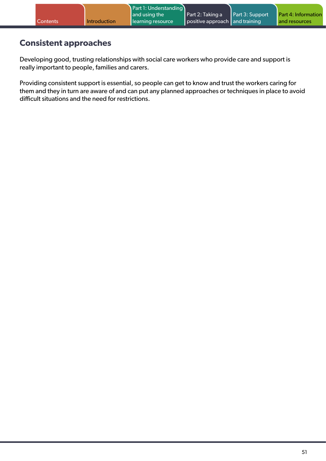### **Consistent approaches**

Developing good, trusting relationships with social care workers who provide care and support is really important to people, families and carers.

Providing consistent support is essential, so people can get to know and trust the workers caring for them and they in turn are aware of and can put any planned approaches or techniques in place to avoid difficult situations and the need for restrictions.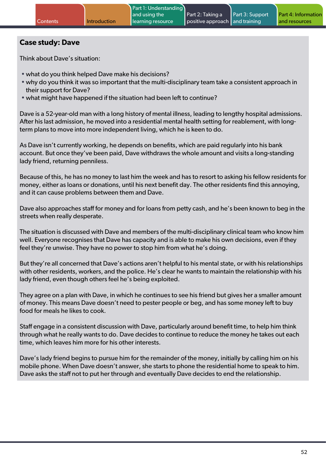### **Case study: Dave**

Think about Dave's situation:

- what do you think helped Dave make his decisions?
- why do you think it was so important that the multi-disciplinary team take a consistent approach in their support for Dave?
- what might have happened if the situation had been left to continue?

Dave is a 52-year-old man with a long history of mental illness, leading to lengthy hospital admissions. After his last admission, he moved into a residential mental health setting for reablement, with longterm plans to move into more independent living, which he is keen to do.

As Dave isn't currently working, he depends on benefits, which are paid regularly into his bank account. But once they've been paid, Dave withdraws the whole amount and visits a long-standing lady friend, returning penniless.

Because of this, he has no money to last him the week and has to resort to asking his fellow residents for money, either as loans or donations, until his next benefit day. The other residents find this annoying, and it can cause problems between them and Dave.

Dave also approaches staff for money and for loans from petty cash, and he's been known to beg in the streets when really desperate.

The situation is discussed with Dave and members of the multi-disciplinary clinical team who know him well. Everyone recognises that Dave has capacity and is able to make his own decisions, even if they feel they're unwise. They have no power to stop him from what he's doing.

But they're all concerned that Dave's actions aren't helpful to his mental state, or with his relationships with other residents, workers, and the police. He's clear he wants to maintain the relationship with his lady friend, even though others feel he's being exploited.

They agree on a plan with Dave, in which he continues to see his friend but gives her a smaller amount of money. This means Dave doesn't need to pester people or beg, and has some money left to buy food for meals he likes to cook.

Staff engage in a consistent discussion with Dave, particularly around benefit time, to help him think through what he really wants to do. Dave decides to continue to reduce the money he takes out each time, which leaves him more for his other interests.

Dave's lady friend begins to pursue him for the remainder of the money, initially by calling him on his mobile phone. When Dave doesn't answer, she starts to phone the residential home to speak to him. Dave asks the staff not to put her through and eventually Dave decides to end the relationship.

Part 4: Information and resources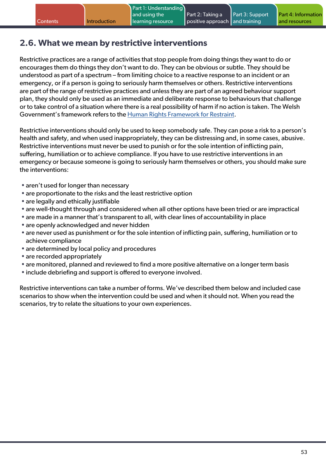# **2.6. What we mean by restrictive interventions**

Restrictive practices are a range of activities that stop people from doing things they want to do or encourages them do things they don't want to do. They can be obvious or subtle. They should be understood as part of a spectrum – from limiting choice to a reactive response to an incident or an emergency, or if a person is going to seriously harm themselves or others. Restrictive interventions are part of the range of restrictive practices and unless they are part of an agreed behaviour support plan, they should only be used as an immediate and deliberate response to behaviours that challenge or to take control of a situation where there is a real possibility of harm if no action is taken. The Welsh Government's framework refers to the [Human Rights Framework for Restraint.](https://www.equalityhumanrights.com/sites/default/files/human-rights-framework-restraint.pdf)

Restrictive interventions should only be used to keep somebody safe. They can pose a risk to a person's health and safety, and when used inappropriately, they can be distressing and, in some cases, abusive. Restrictive interventions must never be used to punish or for the sole intention of inflicting pain, suffering, humiliation or to achieve compliance. If you have to use restrictive interventions in an emergency or because someone is going to seriously harm themselves or others, you should make sure the interventions:

- aren't used for longer than necessary
- are proportionate to the risks and the least restrictive option
- are legally and ethically justifiable
- are well-thought through and considered when all other options have been tried or are impractical
- are made in a manner that's transparent to all, with clear lines of accountability in place
- are openly acknowledged and never hidden
- are never used as punishment or for the sole intention of inflicting pain, suffering, humiliation or to achieve compliance
- are determined by local policy and procedures
- are recorded appropriately
- are monitored, planned and reviewed to find a more positive alternative on a longer term basis
- include debriefing and support is offered to everyone involved.

Restrictive interventions can take a number of forms. We've described them below and included case scenarios to show when the intervention could be used and when it should not. When you read the scenarios, try to relate the situations to your own experiences.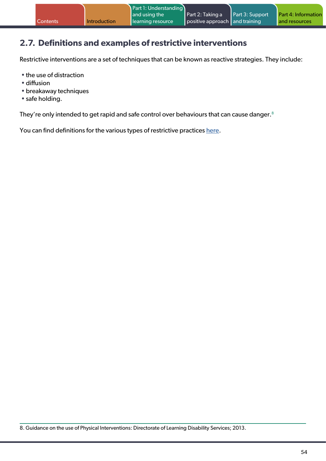# **2.7. Definitions and examples of restrictive interventions**

Restrictive interventions are a set of techniques that can be known as reactive strategies. They include:

- the use of distraction
- diffusion
- breakaway techniques
- safe holding.

They're only intended to get rapid and safe control over behaviours that can cause danger.<sup>8</sup>

You can find definitions for the various types of restrictive practices [here](https://www.equalityhumanrights.com/sites/default/files/inquiry-restraint-in-schools-report.pdf).

8. Guidance on the use of Physical Interventions: Directorate of Learning Disability Services; 2013.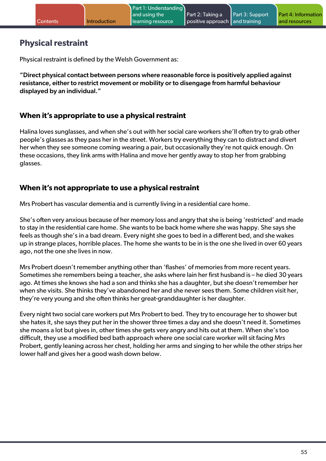# **Physical restraint**

Physical restraint is defined by the Welsh Government as:

"Direct physical contact between persons where reasonable force is positively applied against resistance, either to restrict movement or mobility or to disengage from harmful behaviour displayed by an individual."

### **When it's appropriate to use a physical restraint**

Halina loves sunglasses, and when she's out with her social care workers she'll often try to grab other people's glasses as they pass her in the street. Workers try everything they can to distract and divert her when they see someone coming wearing a pair, but occasionally they're not quick enough. On these occasions, they link arms with Halina and move her gently away to stop her from grabbing glasses.

### **When it's not appropriate to use a physical restraint**

Mrs Probert has vascular dementia and is currently living in a residential care home.

She's often very anxious because of her memory loss and angry that she is being 'restricted' and made to stay in the residential care home. She wants to be back home where she was happy. She says she feels as though she's in a bad dream. Every night she goes to bed in a different bed, and she wakes up in strange places, horrible places. The home she wants to be in is the one she lived in over 60 years ago, not the one she lives in now.

Mrs Probert doesn't remember anything other than 'flashes' of memories from more recent years. Sometimes she remembers being a teacher, she asks where Iain her first husband is – he died 30 years ago. At times she knows she had a son and thinks she has a daughter, but she doesn't remember her when she visits. She thinks they've abandoned her and she never sees them. Some children visit her, they're very young and she often thinks her great-granddaughter is her daughter.

Every night two social care workers put Mrs Probert to bed. They try to encourage her to shower but she hates it, she says they put her in the shower three times a day and she doesn't need it. Sometimes she moans a lot but gives in, other times she gets very angry and hits out at them. When she's too difficult, they use a modified bed bath approach where one social care worker will sit facing Mrs Probert, gently leaning across her chest, holding her arms and singing to her while the other strips her lower half and gives her a good wash down below.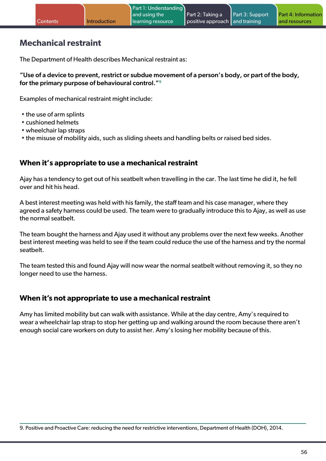### **Mechanical restraint**

The Department of Health describes Mechanical restraint as:

"Use of a device to prevent, restrict or subdue movement of a person's body, or part of the body, for the primary purpose of behavioural control."9

Examples of mechanical restraint might include:

- the use of arm splints
- cushioned helmets
- wheelchair lap straps
- the misuse of mobility aids, such as sliding sheets and handling belts or raised bed sides.

### **When it's appropriate to use a mechanical restraint**

Ajay has a tendency to get out of his seatbelt when travelling in the car. The last time he did it, he fell over and hit his head.

A best interest meeting was held with his family, the staff team and his case manager, where they agreed a safety harness could be used. The team were to gradually introduce this to Ajay, as well as use the normal seatbelt.

The team bought the harness and Ajay used it without any problems over the next few weeks. Another best interest meeting was held to see if the team could reduce the use of the harness and try the normal seatbelt.

The team tested this and found Ajay will now wear the normal seatbelt without removing it, so they no longer need to use the harness.

#### **When it's not appropriate to use a mechanical restraint**

Amy has limited mobility but can walk with assistance. While at the day centre, Amy's required to wear a wheelchair lap strap to stop her getting up and walking around the room because there aren't enough social care workers on duty to assist her. Amy's losing her mobility because of this.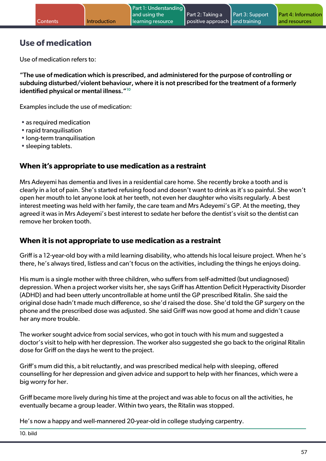# **Use of medication**

Use of medication refers to:

"The use of medication which is prescribed, and administered for the purpose of controlling or subduing disturbed/violent behaviour, where it is not prescribed for the treatment of a formerly identified physical or mental illness."<sup>10</sup>

Examples include the use of medication:

- as required medication
- rapid tranquilisation
- long-term tranquilisation
- sleeping tablets.

#### **When it's appropriate to use medication as a restraint**

Mrs Adeyemi has dementia and lives in a residential care home. She recently broke a tooth and is clearly in a lot of pain. She's started refusing food and doesn't want to drink as it's so painful. She won't open her mouth to let anyone look at her teeth, not even her daughter who visits regularly. A best interest meeting was held with her family, the care team and Mrs Adeyemi's GP. At the meeting, they agreed it was in Mrs Adeyemi's best interest to sedate her before the dentist's visit so the dentist can remove her broken tooth.

#### **When it is not appropriate to use medication as a restraint**

Griff is a 12-year-old boy with a mild learning disability, who attends his local leisure project. When he's there, he's always tired, listless and can't focus on the activities, including the things he enjoys doing.

His mum is a single mother with three children, who suffers from self-admitted (but undiagnosed) depression. When a project worker visits her, she says Griff has Attention Deficit Hyperactivity Disorder (ADHD) and had been utterly uncontrollable at home until the GP prescribed Ritalin. She said the original dose hadn't made much difference, so she'd raised the dose. She'd told the GP surgery on the phone and the prescribed dose was adjusted. She said Griff was now good at home and didn't cause her any more trouble.

The worker sought advice from social services, who got in touch with his mum and suggested a doctor's visit to help with her depression. The worker also suggested she go back to the original Ritalin dose for Griff on the days he went to the project.

Griff's mum did this, a bit reluctantly, and was prescribed medical help with sleeping, offered counselling for her depression and given advice and support to help with her finances, which were a big worry for her.

Griff became more lively during his time at the project and was able to focus on all the activities, he eventually became a group leader. Within two years, the Ritalin was stopped.

He's now a happy and well-mannered 20-year-old in college studying carpentry.

10. bild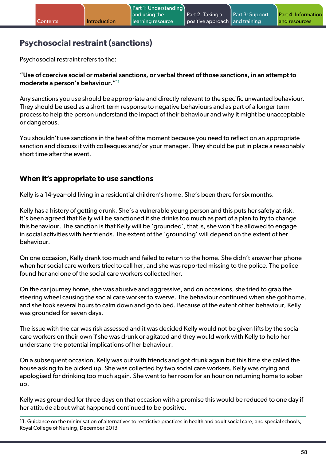# **Psychosocial restraint (sanctions)**

Psychosocial restraint refers to the:

"Use of coercive social or material sanctions, or verbal threat of those sanctions, in an attempt to moderate a person's behaviour."11

Any sanctions you use should be appropriate and directly relevant to the specific unwanted behaviour. They should be used as a short-term response to negative behaviours and as part of a longer term process to help the person understand the impact of their behaviour and why it might be unacceptable or dangerous.

You shouldn't use sanctions in the heat of the moment because you need to reflect on an appropriate sanction and discuss it with colleagues and/or your manager. They should be put in place a reasonably short time after the event.

### **When it's appropriate to use sanctions**

Kelly is a 14-year-old living in a residential children's home. She's been there for six months.

Kelly has a history of getting drunk. She's a vulnerable young person and this puts her safety at risk. It's been agreed that Kelly will be sanctioned if she drinks too much as part of a plan to try to change this behaviour. The sanction is that Kelly will be 'grounded', that is, she won't be allowed to engage in social activities with her friends. The extent of the 'grounding' will depend on the extent of her behaviour.

On one occasion, Kelly drank too much and failed to return to the home. She didn't answer her phone when her social care workers tried to call her, and she was reported missing to the police. The police found her and one of the social care workers collected her.

On the car journey home, she was abusive and aggressive, and on occasions, she tried to grab the steering wheel causing the social care worker to swerve. The behaviour continued when she got home, and she took several hours to calm down and go to bed. Because of the extent of her behaviour, Kelly was grounded for seven days.

The issue with the car was risk assessed and it was decided Kelly would not be given lifts by the social care workers on their own if she was drunk or agitated and they would work with Kelly to help her understand the potential implications of her behaviour.

On a subsequent occasion, Kelly was out with friends and got drunk again but this time she called the house asking to be picked up. She was collected by two social care workers. Kelly was crying and apologised for drinking too much again. She went to her room for an hour on returning home to sober up.

Kelly was grounded for three days on that occasion with a promise this would be reduced to one day if her attitude about what happened continued to be positive.

11. Guidance on the minimisation of alternatives to restrictive practices in health and adult social care, and special schools, Royal College of Nursing, December 2013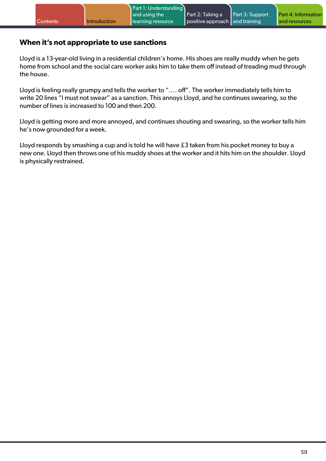### **When it's not appropriate to use sanctions**

Lloyd is a 13-year-old living in a residential children's home. His shoes are really muddy when he gets home from school and the social care worker asks him to take them off instead of treading mud through the house.

Lloyd is feeling really grumpy and tells the worker to "…. off". The worker immediately tells him to write 20 lines "I must not swear" as a sanction. This annoys Lloyd, and he continues swearing, so the number of lines is increased to 100 and then 200.

Lloyd is getting more and more annoyed, and continues shouting and swearing, so the worker tells him he's now grounded for a week.

Lloyd responds by smashing a cup and is told he will have £3 taken from his pocket money to buy a new one. Lloyd then throws one of his muddy shoes at the worker and it hits him on the shoulder. Lloyd is physically restrained.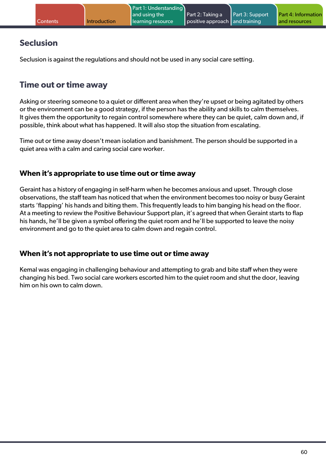# **Seclusion**

Seclusion is against the regulations and should not be used in any social care setting.

# **Time out or time away**

Asking or steering someone to a quiet or different area when they're upset or being agitated by others or the environment can be a good strategy, if the person has the ability and skills to calm themselves. It gives them the opportunity to regain control somewhere where they can be quiet, calm down and, if possible, think about what has happened. It will also stop the situation from escalating.

Time out or time away doesn't mean isolation and banishment. The person should be supported in a quiet area with a calm and caring social care worker.

### **When it's appropriate to use time out or time away**

Geraint has a history of engaging in self-harm when he becomes anxious and upset. Through close observations, the staff team has noticed that when the environment becomes too noisy or busy Geraint starts 'flapping' his hands and biting them. This frequently leads to him banging his head on the floor. At a meeting to review the Positive Behaviour Support plan, it's agreed that when Geraint starts to flap his hands, he'll be given a symbol offering the quiet room and he'll be supported to leave the noisy environment and go to the quiet area to calm down and regain control.

### **When it's not appropriate to use time out or time away**

Kemal was engaging in challenging behaviour and attempting to grab and bite staff when they were changing his bed. Two social care workers escorted him to the quiet room and shut the door, leaving him on his own to calm down.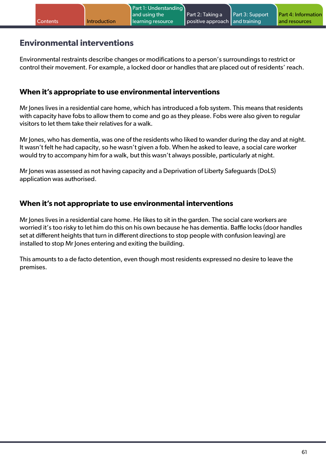### **Environmental interventions**

Environmental restraints describe changes or modifications to a person's surroundings to restrict or control their movement. For example, a locked door or handles that are placed out of residents' reach.

### **When it's appropriate to use environmental interventions**

Mr Jones lives in a residential care home, which has introduced a fob system. This means that residents with capacity have fobs to allow them to come and go as they please. Fobs were also given to regular visitors to let them take their relatives for a walk.

Mr Jones, who has dementia, was one of the residents who liked to wander during the day and at night. It wasn't felt he had capacity, so he wasn't given a fob. When he asked to leave, a social care worker would try to accompany him for a walk, but this wasn't always possible, particularly at night.

Mr Jones was assessed as not having capacity and a Deprivation of Liberty Safeguards (DoLS) application was authorised.

### **When it's not appropriate to use environmental interventions**

Mr Jones lives in a residential care home. He likes to sit in the garden. The social care workers are worried it's too risky to let him do this on his own because he has dementia. Baffle locks (door handles set at different heights that turn in different directions to stop people with confusion leaving) are installed to stop Mr Jones entering and exiting the building.

This amounts to a de facto detention, even though most residents expressed no desire to leave the premises.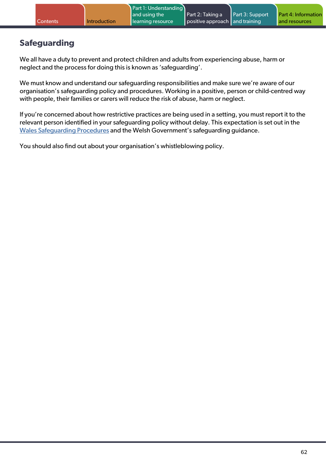# **Safeguarding**

We all have a duty to prevent and protect children and adults from experiencing abuse, harm or neglect and the process for doing this is known as 'safeguarding'.

We must know and understand our safeguarding responsibilities and make sure we're aware of our organisation's safeguarding policy and procedures. Working in a positive, person or child-centred way with people, their families or carers will reduce the risk of abuse, harm or neglect.

If you're concerned about how restrictive practices are being used in a setting, you must report it to the relevant person identified in your safeguarding policy without delay. This expectation is set out in the [Wales Safeguarding Procedures](https://safeguarding.wales/) and the Welsh Government's safeguarding guidance.

You should also find out about your organisation's whistleblowing policy.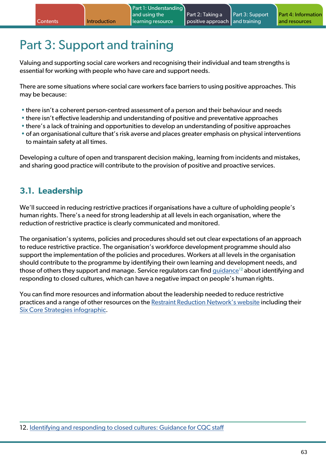# Part 3: Support and training

Valuing and supporting social care workers and recognising their individual and team strengths is essential for working with people who have care and support needs.

There are some situations where social care workers face barriers to using positive approaches. This may be because:

- there isn't a coherent person-centred assessment of a person and their behaviour and needs
- there isn't effective leadership and understanding of positive and preventative approaches
- there's a lack of training and opportunities to develop an understanding of positive approaches
- of an organisational culture that's risk averse and places greater emphasis on physical interventions to maintain safety at all times.

Developing a culture of open and transparent decision making, learning from incidents and mistakes, and sharing good practice will contribute to the provision of positive and proactive services.

### **3.1. Leadership**

We'll succeed in reducing restrictive practices if organisations have a culture of upholding people's human rights. There's a need for strong leadership at all levels in each organisation, where the reduction of restrictive practice is clearly communicated and monitored.

The organisation's systems, policies and procedures should set out clear expectations of an approach to reduce restrictive practice. The organisation's workforce development programme should also support the implementation of the policies and procedures. Workers at all levels in the organisation should contribute to the programme by identifying their own learning and development needs, and those of others they support and manage. Service regulators can find [guidance](https://www.cqc.org.uk/sites/default/files/20200623_closedcultures_guidance.pdf)<sup>12</sup> about identifying and responding to closed cultures, which can have a negative impact on people's human rights.

You can find more resources and information about the leadership needed to reduce restrictive practices and a range of other resources on the [Restraint Reduction Network's website](https://restraintreductionnetwork.org/) including their [Six Core Strategies infographic](https://restraintreductionnetwork.org/wp-content/uploads/2020/12/Six-Core-Strategies-and-Human-Rights.pdf).

12. [Identifying and responding to closed cultures: Guidance for CQC staff](https://www.cqc.org.uk/sites/default/files/20200623_closedcultures_guidance.pdf)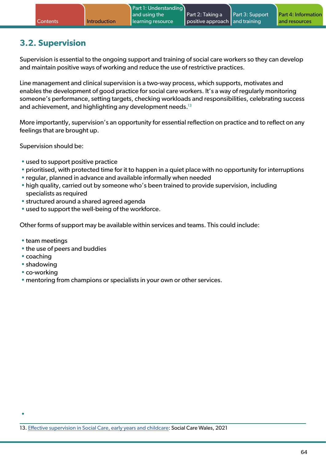# **3.2. Supervision**

Supervision is essential to the ongoing support and training of social care workers so they can develop and maintain positive ways of working and reduce the use of restrictive practices.

Line management and clinical supervision is a two-way process, which supports, motivates and enables the development of good practice for social care workers. It's a way of regularly monitoring someone's performance, setting targets, checking workloads and responsibilities, celebrating success and achievement, and highlighting any development needs.<sup>13</sup>

More importantly, supervision's an opportunity for essential reflection on practice and to reflect on any feelings that are brought up.

Supervision should be:

- used to support positive practice
- prioritised, with protected time for it to happen in a quiet place with no opportunity for interruptions
- regular, planned in advance and available informally when needed
- high quality, carried out by someone who's been trained to provide supervision, including specialists as required
- structured around a shared agreed agenda
- used to support the well-being of the workforce.

Other forms of support may be available within services and teams. This could include:

- team meetings
- the use of peers and buddies
- coaching

•

- shadowing
- co-working
- mentoring from champions or specialists in your own or other services.

13. [Effective supervision in Social Care, early years and childcare:](https://socialcare.wales/service-improvement/effective-supervision-in-social-care-early-years-and-childcare) Social Care Wales, 2021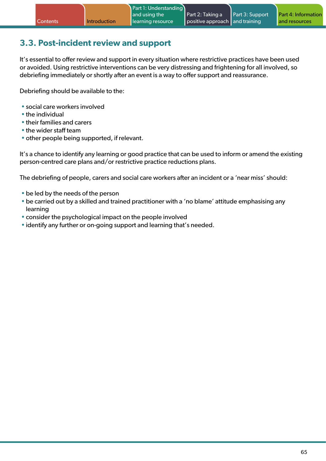# **3.3. Post-incident review and support**

It's essential to offer review and support in every situation where restrictive practices have been used or avoided. Using restrictive interventions can be very distressing and frightening for all involved, so debriefing immediately or shortly after an event is a way to offer support and reassurance.

Debriefing should be available to the:

- social care workers involved
- the individual
- their families and carers
- the wider staff team
- other people being supported, if relevant.

It's a chance to identify any learning or good practice that can be used to inform or amend the existing person-centred care plans and/or restrictive practice reductions plans.

The debriefing of people, carers and social care workers after an incident or a 'near miss' should:

- be led by the needs of the person
- be carried out by a skilled and trained practitioner with a 'no blame' attitude emphasising any learning
- consider the psychological impact on the people involved
- identify any further or on-going support and learning that's needed.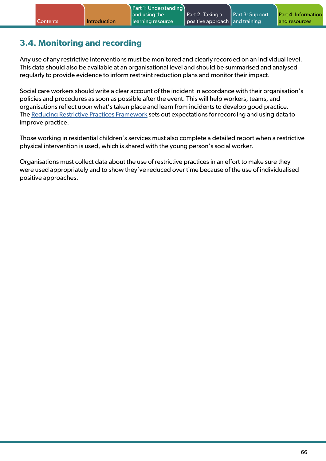# **3.4. Monitoring and recording**

Any use of any restrictive interventions must be monitored and clearly recorded on an individual level. This data should also be available at an organisational level and should be summarised and analysed regularly to provide evidence to inform restraint reduction plans and monitor their impact.

Social care workers should write a clear account of the incident in accordance with their organisation's policies and procedures as soon as possible after the event. This will help workers, teams, and organisations reflect upon what's taken place and learn from incidents to develop good practice. The [Reducing Restrictive Practices Framework](https://gov.wales/sites/default/files/publications/2021-07/reducing-restrictive-practices-framework.pdf) sets out expectations for recording and using data to improve practice.

Those working in residential children's services must also complete a detailed report when a restrictive physical intervention is used, which is shared with the young person's social worker.

Organisations must collect data about the use of restrictive practices in an effort to make sure they were used appropriately and to show they've reduced over time because of the use of individualised positive approaches.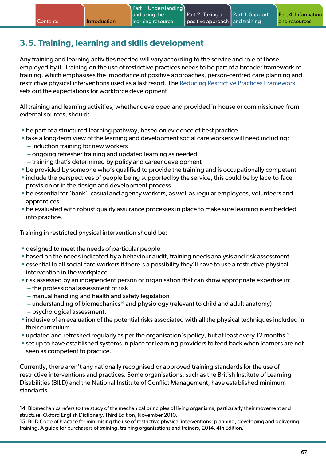# **3.5. Training, learning and skills development**

Any training and learning activities needed will vary according to the service and role of those employed by it. Training on the use of restrictive practices needs to be part of a broader framework of training, which emphasises the importance of positive approaches, person-centred care planning and restrictive physical interventions used as a last resort. The [Reducing Restrictive Practices Framework](https://gov.wales/sites/default/files/publications/2021-07/reducing-restrictive-practices-framework.pdf) sets out the expectations for workforce development.

All training and learning activities, whether developed and provided in-house or commissioned from external sources, should:

- be part of a structured learning pathway, based on evidence of best practice
- take a long-term view of the learning and development social care workers will need including:
	- **–** induction training for new workers
	- **–** ongoing refresher training and updated learning as needed
	- **–** training that's determined by policy and career development
- be provided by someone who's qualified to provide the training and is occupationally competent
- include the perspectives of people being supported by the service, this could be by face-to-face provision or in the design and development process
- be essential for 'bank', casual and agency workers, as well as regular employees, volunteers and apprentices
- be evaluated with robust quality assurance processes in place to make sure learning is embedded into practice.

Training in restricted physical intervention should be:

- designed to meet the needs of particular people
- based on the needs indicated by a behaviour audit, training needs analysis and risk assessment
- essential to all social care workers if there's a possibility they'll have to use a restrictive physical intervention in the workplace
- risk assessed by an independent person or organisation that can show appropriate expertise in:
	- **–** the professional assessment of risk
	- **–** manual handling and health and safety legislation
	- **–** understanding of biomechanics14 and physiology (relevant to child and adult anatomy)
	- **–** psychological assessment.
- inclusive of an evaluation of the potential risks associated with all the physical techniques included in their curriculum
- updated and refreshed regularly as per the organisation's policy, but at least every 12 months<sup>15</sup>
- set up to have established systems in place for learning providers to feed back when learners are not seen as competent to practice.

Currently, there aren't any nationally recognised or approved training standards for the use of restrictive interventions and practices. Some organisations, such as the British Institute of Learning Disabilities (BILD) and the National Institute of Conflict Management, have established minimum standards.

<sup>14.</sup> Biomechanics refers to the study of the mechanical principles of living organisms, particularly their movement and structure. Oxford English Dictionary, Third Edition, November 2010.

<sup>15.</sup> BILD Code of Practice for minimising the use of restrictive physical interventions: planning, developing and delivering training. A guide for purchasers of training, training organisations and trainers, 2014, 4th Edition.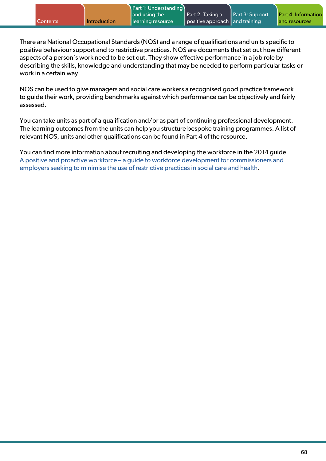There are National Occupational Standards (NOS) and a range of qualifications and units specific to positive behaviour support and to restrictive practices. NOS are documents that set out how different aspects of a person's work need to be set out. They show effective performance in a job role by describing the skills, knowledge and understanding that may be needed to perform particular tasks or work in a certain way.

NOS can be used to give managers and social care workers a recognised good practice framework to guide their work, providing benchmarks against which performance can be objectively and fairly assessed.

You can take units as part of a qualification and/or as part of continuing professional development. The learning outcomes from the units can help you structure bespoke training programmes. A list of relevant NOS, units and other qualifications can be found in Part 4 of the resource.

You can find more information about recruiting and developing the workforce in the 2014 guide [A positive and proactive workforce – a guide to workforce development for commissioners and](https://www.skillsforhealth.org.uk/images/projects/physical/A positive and proactive workforce.pdf)  [employers seeking to minimise the use of restrictive practices in social care and health.](https://www.skillsforhealth.org.uk/images/projects/physical/A positive and proactive workforce.pdf)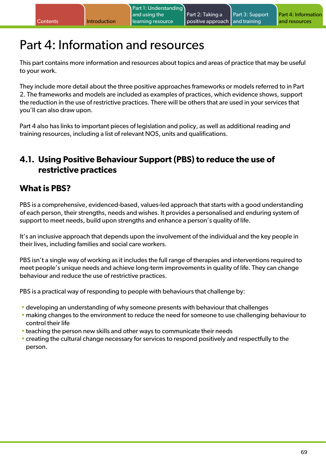# Part 4: Information and resources

This part contains more information and resources about topics and areas of practice that may be useful to your work.

They include more detail about the three positive approaches frameworks or models referred to in Part 2. The frameworks and models are included as examples of practices, which evidence shows, support the reduction in the use of restrictive practices. There will be others that are used in your services that you'll can also draw upon.

Part 4 also has links to important pieces of legislation and policy, as well as additional reading and training resources, including a list of relevant NOS, units and qualifications.

# **4.1. Using Positive Behaviour Support (PBS) to reduce the use of restrictive practices**

# **What is PBS?**

PBS is a comprehensive, evidenced-based, values-led approach that starts with a good understanding of each person, their strengths, needs and wishes. It provides a personalised and enduring system of support to meet needs, build upon strengths and enhance a person's quality of life.

It's an inclusive approach that depends upon the involvement of the individual and the key people in their lives, including families and social care workers.

PBS isn't a single way of working as it includes the full range of therapies and interventions required to meet people's unique needs and achieve long-term improvements in quality of life. They can change behaviour and reduce the use of restrictive practices.

PBS is a practical way of responding to people with behaviours that challenge by:

- developing an understanding of why someone presents with behaviour that challenges
- making changes to the environment to reduce the need for someone to use challenging behaviour to control their life
- teaching the person new skills and other ways to communicate their needs
- creating the cultural change necessary for services to respond positively and respectfully to the person.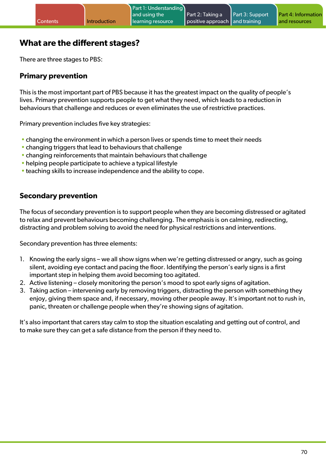## **What are the different stages?**

There are three stages to PBS:

#### **Primary prevention**

This is the most important part of PBS because it has the greatest impact on the quality of people's lives. Primary prevention supports people to get what they need, which leads to a reduction in behaviours that challenge and reduces or even eliminates the use of restrictive practices.

Primary prevention includes five key strategies:

- changing the environment in which a person lives or spends time to meet their needs
- changing triggers that lead to behaviours that challenge
- changing reinforcements that maintain behaviours that challenge
- helping people participate to achieve a typical lifestyle
- teaching skills to increase independence and the ability to cope.

### **Secondary prevention**

The focus of secondary prevention is to support people when they are becoming distressed or agitated to relax and prevent behaviours becoming challenging. The emphasis is on calming, redirecting, distracting and problem solving to avoid the need for physical restrictions and interventions.

Secondary prevention has three elements:

- 1. Knowing the early signs we all show signs when we're getting distressed or angry, such as going silent, avoiding eye contact and pacing the floor. Identifying the person's early signs is a first important step in helping them avoid becoming too agitated.
- 2. Active listening closely monitoring the person's mood to spot early signs of agitation.
- 3. Taking action intervening early by removing triggers, distracting the person with something they enjoy, giving them space and, if necessary, moving other people away. It's important not to rush in, panic, threaten or challenge people when they're showing signs of agitation.

It's also important that carers stay calm to stop the situation escalating and getting out of control, and to make sure they can get a safe distance from the person if they need to.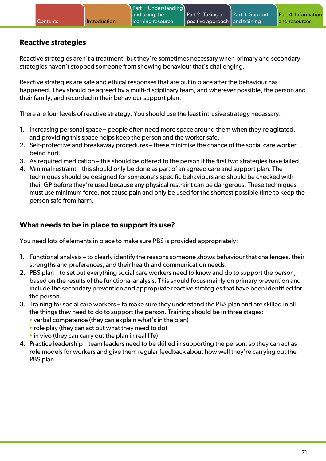### **Reactive strategies**

Reactive strategies aren't a treatment, but they're sometimes necessary when primary and secondary strategies haven't stopped someone from showing behaviour that's challenging.

Reactive strategies are safe and ethical responses that are put in place after the behaviour has happened. They should be agreed by a multi-disciplinary team, and wherever possible, the person and their family, and recorded in their behaviour support plan.

There are four levels of reactive strategy. You should use the least intrusive strategy necessary:

- 1. Increasing personal space people often need more space around them when they're agitated, and providing this space helps keep the person and the worker safe.
- 2. Self-protective and breakaway procedures these minimise the chance of the social care worker being hurt.
- 3. As required medication this should be offered to the person if the first two strategies have failed.
- 4. Minimal restraint this should only be done as part of an agreed care and support plan. The techniques should be designed for someone's specific behaviours and should be checked with their GP before they're used because any physical restraint can be dangerous. These techniques must use minimum force, not cause pain and only be used for the shortest possible time to keep the person safe from harm.

### **What needs to be in place to support its use?**

You need lots of elements in place to make sure PBS is provided appropriately:

- 1. Functional analysis to clearly identify the reasons someone shows behaviour that challenges, their strengths and preferences, and their health and communication needs.
- 2. PBS plan to set out everything social care workers need to know and do to support the person, based on the results of the functional analysis. This should focus mainly on primary prevention and include the secondary prevention and appropriate reactive strategies that have been identified for the person.
- 3. Training for social care workers to make sure they understand the PBS plan and are skilled in all the things they need to do to support the person. Training should be in three stages:
	- verbal competence (they can explain what's in the plan)
	- role play (they can act out what they need to do)
	- in vivo (they can carry out the plan in real life).
- 4. Practice leadership team leaders need to be skilled in supporting the person, so they can act as role models for workers and give them regular feedback about how well they're carrying out the PBS plan.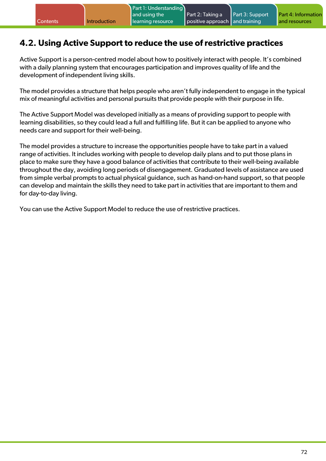# **4.2. Using Active Support to reduce the use of restrictive practices**

Active Support is a person-centred model about how to positively interact with people. It's combined with a daily planning system that encourages participation and improves quality of life and the development of independent living skills.

The model provides a structure that helps people who aren't fully independent to engage in the typical mix of meaningful activities and personal pursuits that provide people with their purpose in life.

The Active Support Model was developed initially as a means of providing support to people with learning disabilities, so they could lead a full and fulfilling life. But it can be applied to anyone who needs care and support for their well-being.

The model provides a structure to increase the opportunities people have to take part in a valued range of activities. It includes working with people to develop daily plans and to put those plans in place to make sure they have a good balance of activities that contribute to their well-being available throughout the day, avoiding long periods of disengagement. Graduated levels of assistance are used from simple verbal prompts to actual physical guidance, such as hand-on-hand support, so that people can develop and maintain the skills they need to take part in activities that are important to them and for day-to-day living.

You can use the Active Support Model to reduce the use of restrictive practices.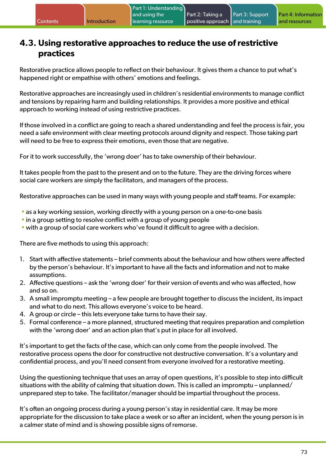## **4.3. Using restorative approaches to reduce the use of restrictive practices**

Restorative practice allows people to reflect on their behaviour. It gives them a chance to put what's happened right or empathise with others' emotions and feelings.

Restorative approaches are increasingly used in children's residential environments to manage conflict and tensions by repairing harm and building relationships. It provides a more positive and ethical approach to working instead of using restrictive practices.

If those involved in a conflict are going to reach a shared understanding and feel the process is fair, you need a safe environment with clear meeting protocols around dignity and respect. Those taking part will need to be free to express their emotions, even those that are negative.

For it to work successfully, the 'wrong doer' has to take ownership of their behaviour.

It takes people from the past to the present and on to the future. They are the driving forces where social care workers are simply the facilitators, and managers of the process.

Restorative approaches can be used in many ways with young people and staff teams. For example:

- as a key working session, working directly with a young person on a one-to-one basis
- in a group setting to resolve conflict with a group of young people
- with a group of social care workers who've found it difficult to agree with a decision.

There are five methods to using this approach:

- 1. Start with affective statements brief comments about the behaviour and how others were affected by the person's behaviour. It's important to have all the facts and information and not to make assumptions.
- 2. Affective questions ask the 'wrong doer' for their version of events and who was affected, how and so on.
- 3. A small impromptu meeting a few people are brought together to discuss the incident, its impact and what to do next. This allows everyone's voice to be heard.
- 4. A group or circle this lets everyone take turns to have their say.
- 5. Formal conference a more planned, structured meeting that requires preparation and completion with the 'wrong doer' and an action plan that's put in place for all involved.

It's important to get the facts of the case, which can only come from the people involved. The restorative process opens the door for constructive not destructive conversation. It's a voluntary and confidential process, and you'll need consent from everyone involved for a restorative meeting.

Using the questioning technique that uses an array of open questions, it's possible to step into difficult situations with the ability of calming that situation down. This is called an impromptu – unplanned/ unprepared step to take. The facilitator/manager should be impartial throughout the process.

It's often an ongoing process during a young person's stay in residential care. It may be more appropriate for the discussion to take place a week or so after an incident, when the young person is in a calmer state of mind and is showing possible signs of remorse.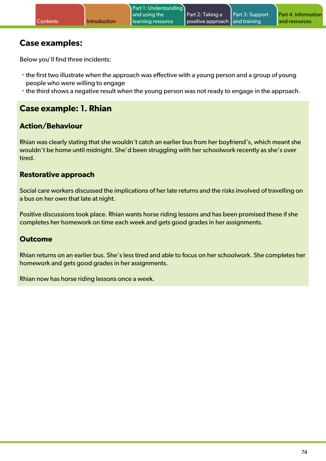### **Case examples:**

Below you'll find three incidents:

- the first two illustrate when the approach was effective with a young person and a group of young people who were willing to engage
- the third shows a negative result when the young person was not ready to engage in the approach.

## **Case example: 1. Rhian**

### **Action/Behaviour**

Rhian was clearly stating that she wouldn't catch an earlier bus from her boyfriend's, which meant she wouldn't be home until midnight. She'd been struggling with her schoolwork recently as she's over tired.

#### **Restorative approach**

Social care workers discussed the implications of her late returns and the risks involved of travelling on a bus on her own that late at night.

Positive discussions took place. Rhian wants horse riding lessons and has been promised these if she completes her homework on time each week and gets good grades in her assignments.

#### **Outcome**

Rhian returns on an earlier bus. She's less tired and able to focus on her schoolwork. She completes her homework and gets good grades in her assignments.

Rhian now has horse riding lessons once a week.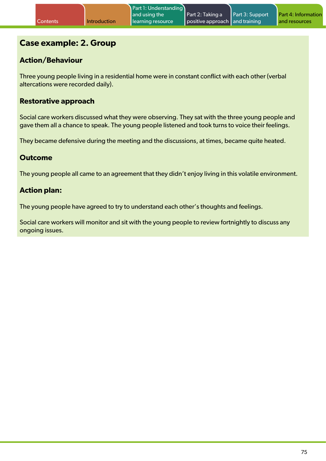## **Case example: 2. Group**

#### **Action/Behaviour**

Three young people living in a residential home were in constant conflict with each other (verbal altercations were recorded daily).

#### **Restorative approach**

Social care workers discussed what they were observing. They sat with the three young people and gave them all a chance to speak. The young people listened and took turns to voice their feelings.

They became defensive during the meeting and the discussions, at times, became quite heated.

#### **Outcome**

The young people all came to an agreement that they didn't enjoy living in this volatile environment.

#### **Action plan:**

The young people have agreed to try to understand each other's thoughts and feelings.

Social care workers will monitor and sit with the young people to review fortnightly to discuss any ongoing issues.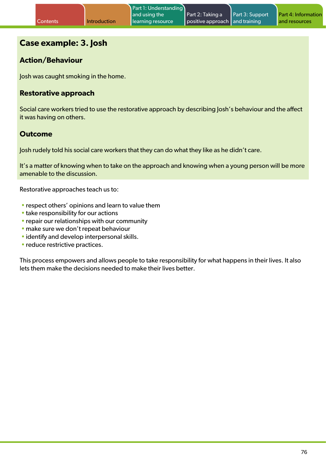### **Case example: 3. Josh**

### **Action/Behaviour**

Josh was caught smoking in the home.

#### **Restorative approach**

Social care workers tried to use the restorative approach by describing Josh's behaviour and the affect it was having on others.

#### **Outcome**

Josh rudely told his social care workers that they can do what they like as he didn't care.

It's a matter of knowing when to take on the approach and knowing when a young person will be more amenable to the discussion.

Restorative approaches teach us to:

- respect others' opinions and learn to value them
- take responsibility for our actions
- repair our relationships with our community
- make sure we don't repeat behaviour
- identify and develop interpersonal skills.
- reduce restrictive practices.

This process empowers and allows people to take responsibility for what happens in their lives. It also lets them make the decisions needed to make their lives better.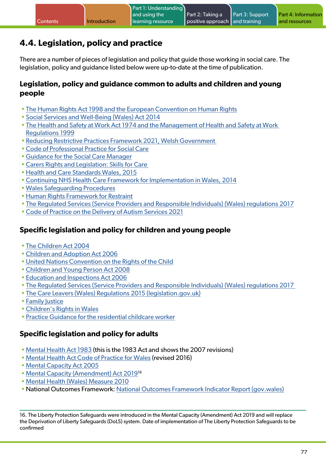# **4.4. Legislation, policy and practice**

There are a number of pieces of legislation and policy that guide those working in social care. The legislation, policy and guidance listed below were up-to-date at the time of publication.

#### **Legislation, policy and guidance common to adults and children and young people**

- [The Human Rights Act 1998 and the European Convention on Human Rights](https://www.equalityhumanrights.com/en/human-rights/what-are-human-rights)
- [Social Services and Well-Being \(Wales\) Act 2014](http://www.legislation.gov.uk/anaw/2014/4/contents)
- [The Health and Safety at Work Act 1974 and the Management of Health and Safety at Work](http://www.hse.gov.uk/legislation/hswa.htm)  [Regulations 1999](http://www.hse.gov.uk/legislation/hswa.htm)
- [Reducing Restrictive Practices Framework 2021, Welsh Government](https://gov.wales/sites/default/files/publications/2021-07/reducing-restrictive-practices-framework.pdf)
- [Code of Professional Practice for Social Care](https://socialcare.wales/dealing-with-concerns/codes-of-practice-and-guidance#section-29494-anchor)
- [Guidance for the Social Care Manager](https://socialcare.wales/cms_assets/file-uploads/SCW-SocCareMan-ENG-Mar19.pdf)
- [Carers Rights and Legislation: Skills for Care](https://gov.wales/sites/default/files/publications/2021-10/carers-rights-a5-leaflet.pdf)
- [Health and Care Standards Wales, 2015](http://www.wales.nhs.uk/sitesplus/documents/1064/24729_Health Standards Framework_2015_E1.pdf)
- [Continuing NHS Health Care Framework for Implementation in Wales, 2014](http://www.wales.nhs.uk/continuingnhshealthcare)
- [Wales Safeguarding Procedures](https://safeguarding.wales/)
- [Human Rights Framework for Restraint](https://www.equalityhumanrights.com/sites/default/files/human-rights-framework-restraint.pdf)
- [The Regulated Services \(Service Providers and Responsible Individuals\) \(Wales\) regulations 2017](https://gov.wales/sites/default/files/publications/2019-04/guidance-for-providers-and-responsible-individuals.pdf)
- [Code of Practice on the Delivery of Autism Services 2021](https://gov.wales/sites/default/files/publications/2021-07/code-of-practice-on-the-delivery-of-autism-services.pdf)

### **Specific legislation and policy for children and young people**

- [The Children Act 2004](http://www.legislation.gov.uk/ukpga/2004/31/contents#pt3)
- [Children and Adoption Act 2006](http://www.legislation.gov.uk/ukpga/2006/20/contents)
- [United Nations Convention on the Rights of the Child](http://www.unicef.org.uk/UNICEFs-Work/UN-Convention/)
- [Children and Young Person Act 2008](http://www.legislation.gov.uk/ukpga/2008/23/contents)
- [Education and Inspections Act 2006](http://www.legislation.gov.uk/ukpga/2006/40/contents)
- [The Regulated Services \(Service Providers and Responsible Individuals\) \(Wales\) regulations 2017](https://gov.wales/sites/default/files/publications/2019-04/guidance-for-providers-and-responsible-individuals.pdf)
- [The Care Leavers \(Wales\) Regulations 2015 \(legislation.gov.uk\)](https://www.legislation.gov.uk/wsi/2015/1820/made)
- [Family Justice](https://socialcare.wales/search?search=Family%20Justice)
- [Children's Rights in Wales](http://www.childrensrightswales.org.uk/childrens-act-2004.aspx)
- [Practice Guidance for the residential childcare worker](https://socialcare.wales/cms_assets/file-uploads/Practice-guidance-residential-child-care-workers.pdf)

### **Specific legislation and policy for adults**

- [Mental Health Act 1983](https://www.legislation.gov.uk/ukpga/1983/20/contents) (this is the 1983 Act and shows the 2007 revisions)
- [Mental Health Act Code of Practice for Wales](https://gov.wales/mental-health-act-1983-code-practice) (revised 2016)
- [Mental Capacity Act 2005](https://www.legislation.gov.uk/ukpga/2005/9/contents)
- [Mental Capacity \(Amendment\) Act 20191](https://www.legislation.gov.uk/ukpga/2019/18/contents)6
- [Mental Health \(Wales\) Measure 2010](https://www.legislation.gov.uk/mwa/2010/7/contents)
- National Outcomes Framework: [National Outcomes Framework Indicator Report \(gov.wales\)](https://gov.wales/sites/default/files/publications/2019-05/the-national-outcomes-framework-for-people-who-need-care-and-support-and-carers-who-need-support.pdf)

16. The Liberty Protection Safeguards were introduced in the Mental Capacity (Amendment) Act 2019 and will replace the Deprivation of Liberty Safeguards (DoLS) system. Date of implementation of The Liberty Protection Safeguards to be confirmed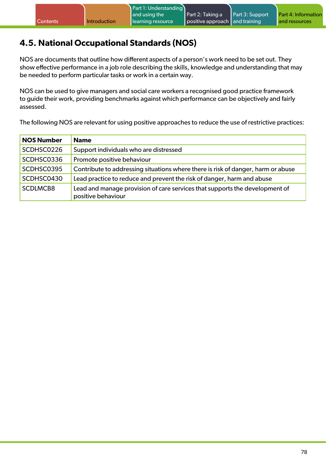# **4.5. National Occupational Standards (NOS)**

NOS are documents that outline how different aspects of a person's work need to be set out. They show effective performance in a job role describing the skills, knowledge and understanding that may be needed to perform particular tasks or work in a certain way.

NOS can be used to give managers and social care workers a recognised good practice framework to guide their work, providing benchmarks against which performance can be objectively and fairly assessed.

The following NOS are relevant for using positive approaches to reduce the use of restrictive practices:

| <b>NOS Number</b> | <b>Name</b>                                                                                       |
|-------------------|---------------------------------------------------------------------------------------------------|
| SCDHSC0226        | Support individuals who are distressed                                                            |
| SCDHSC0336        | Promote positive behaviour                                                                        |
| SCDHSC0395        | Contribute to addressing situations where there is risk of danger, harm or abuse                  |
| SCDHSC0430        | Lead practice to reduce and prevent the risk of danger, harm and abuse                            |
| <b>SCDLMCB8</b>   | Lead and manage provision of care services that supports the development of<br>positive behaviour |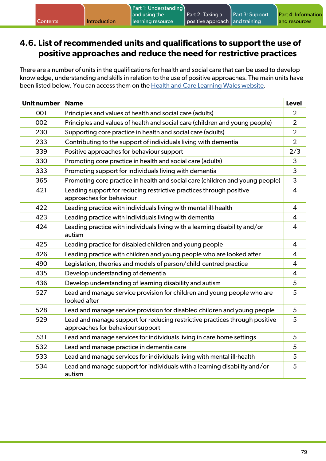### **4.6. List of recommended units and qualifications to support the use of positive approaches and reduce the need for restrictive practices**

There are a number of units in the qualifications for health and social care that can be used to develop knowledge, understanding and skills in relation to the use of positive approaches. The main units have been listed below. You can access them on the [Health and Care Learning Wales website.](https://www.healthandcarelearning.wales/qualifications/)

| <b>Unit number</b> | <b>Name</b>                                                                                                     | <b>Level</b>   |
|--------------------|-----------------------------------------------------------------------------------------------------------------|----------------|
| 001                | Principles and values of health and social care (adults)                                                        | $\overline{2}$ |
| 002                | Principles and values of health and social care (children and young people)                                     | $\overline{2}$ |
| 230                | Supporting core practice in health and social care (adults)                                                     | $\overline{2}$ |
| 233                | Contributing to the support of individuals living with dementia                                                 | $\overline{2}$ |
| 339                | Positive approaches for behaviour support                                                                       | 2/3            |
| 330                | Promoting core practice in health and social care (adults)                                                      | 3              |
| 333                | Promoting support for individuals living with dementia                                                          | 3              |
| 365                | Promoting core practice in health and social care (children and young people)                                   | 3              |
| 421                | Leading support for reducing restrictive practices through positive<br>approaches for behaviour                 | $\overline{4}$ |
| 422                | Leading practice with individuals living with mental ill-health                                                 | 4              |
| 423                | Leading practice with individuals living with dementia                                                          | $\overline{4}$ |
| 424                | Leading practice with individuals living with a learning disability and/or<br>autism                            | $\overline{4}$ |
| 425                | Leading practice for disabled children and young people                                                         | 4              |
| 426                | Leading practice with children and young people who are looked after                                            | 4              |
| 490                | Legislation, theories and models of person/child-centred practice                                               | 4              |
| 435                | Develop understanding of dementia                                                                               | $\overline{4}$ |
| 436                | Develop understanding of learning disability and autism                                                         | 5              |
| 527                | Lead and manage service provision for children and young people who are<br>looked after                         | 5              |
| 528                | Lead and manage service provision for disabled children and young people                                        | 5              |
| 529                | Lead and manage support for reducing restrictive practices through positive<br>approaches for behaviour support | 5              |
| 531                | Lead and manage services for individuals living in care home settings                                           | 5              |
| 532                | Lead and manage practice in dementia care                                                                       | 5              |
| 533                | Lead and manage services for individuals living with mental ill-health                                          | 5              |
| 534                | Lead and manage support for individuals with a learning disability and/or<br>autism                             | 5              |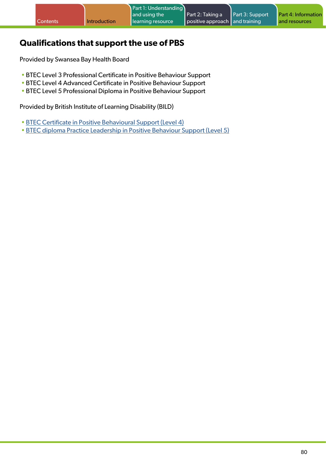## **Qualifications that support the use of PBS**

Provided by Swansea Bay Health Board

- BTEC Level 3 Professional Certificate in Positive Behaviour Support
- BTEC Level 4 Advanced Certificate in Positive Behaviour Support
- BTEC Level 5 Professional Diploma in Positive Behaviour Support

Provided by British Institute of Learning Disability (BILD)

- [BTEC Certificate in Positive Behavioural Support \(Level 4\)](https://www.bild.org.uk/bild-btec-certificate/)
- [BTEC diploma Practice Leadership in Positive Behaviour Support \(Level 5\)](https://www.bild.org.uk/btecdiploma/)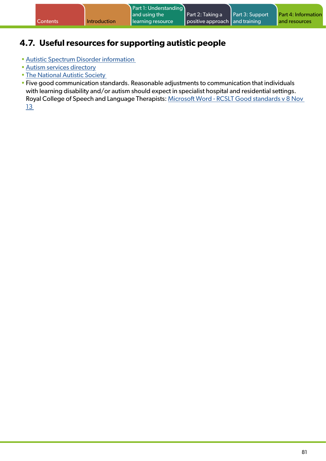## **4.7. Useful resources for supporting autistic people**

- [Autistic Spectrum Disorder information](http://www.asdinfowales.co.uk/)
- [Autism services directory](http://www.autism.org.uk/directory.aspx)
- [The National Autistic Society](http://www.autism.org.uk/)
- Five good communication standards. Reasonable adjustments to communication that individuals with learning disability and/or autism should expect in specialist hospital and residential settings. Royal College of Speech and Language Therapists: [Microsoft Word - RCSLT Good standards v 8 Nov](https://www.rcslt.org/wp-content/uploads/media/Project/RCSLT/good-comm-standards.pdf)  [13](https://www.rcslt.org/wp-content/uploads/media/Project/RCSLT/good-comm-standards.pdf)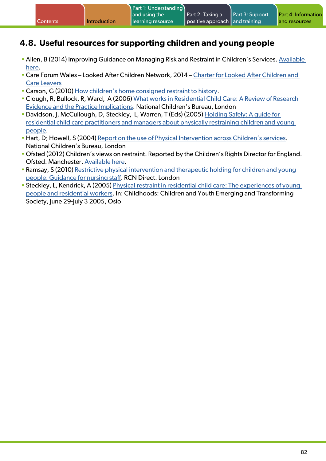## **4.8. Useful resources for supporting children and young people**

- Allen, B (2014) Improving Guidance on Managing Risk and Restraint in Children's Services. [Available](http://www.steaming-training.co.uk/)  [here.](http://www.steaming-training.co.uk/)
- Care Forum Wales Looked After Children Network, 2014 – [Charter for Looked After Children and](http://www.careforumwales.co.uk/members/groups/13)  [Care Leavers](http://www.careforumwales.co.uk/members/groups/13)
- Carson, G (2010) [How children's home consigned restraint to history.](http://www.communitycare.co.uk/)
- Clough, R, Bullock, R, Ward, A (2006) [What works in Residential Child Care: A Review of Research](http://www.ncb.org.uk/)  [Evidence and the Practice Implications:](http://www.ncb.org.uk/) National Children's Bureau, London
- •Davidson, J, McCullough, D, Steckley, L, Warren, T (Eds) (2005) [Holding Safely: A guide for](http://strathprints.strath.ac.uk/7903/)  [residential child care practitioners and managers about physically restraining children and young](http://strathprints.strath.ac.uk/7903/)  [people](http://strathprints.strath.ac.uk/7903/).
- Hart, D; Howell, S (2004) [Report on the use of Physical Intervention across Children's services.](http://www.ncb.org.uk/) National Children's Bureau, London
- Ofsted (2012) Children's views on restraint. Reported by the Children's Rights Director for England. Ofsted. Manchester. [Available here.](https://webarchive.nationalarchives.gov.uk/ukgwa/20141106030624mp_/https:/www.ofsted.gov.uk/sites/default/files/documents/surveys-and-good-practice/t/The%20children’s%20views%20digest.pdf)
- Ramsay, S (2010) [Restrictive physical intervention and therapeutic holding for children and young](https://www.google.com/url?sa=t&rct=j&q=&esrc=s&source=web&cd=&ved=2ahUKEwilqpPjxLH3AhVISsAKHev9CtIQFnoECAMQAQ&url=https%3A%2F%2Fwww.rcn.org.uk%2F-%2Fmedia%2Froyal-college-of-nursing%2Fdocuments%2Fpublications%2F2019%2Foctober%2F007-746.pdf&usg=AOvVaw1-UPDuYu4g8c1oG9B9Tb_6)  [people: Guidance for nursing staff.](https://www.google.com/url?sa=t&rct=j&q=&esrc=s&source=web&cd=&ved=2ahUKEwilqpPjxLH3AhVISsAKHev9CtIQFnoECAMQAQ&url=https%3A%2F%2Fwww.rcn.org.uk%2F-%2Fmedia%2Froyal-college-of-nursing%2Fdocuments%2Fpublications%2F2019%2Foctober%2F007-746.pdf&usg=AOvVaw1-UPDuYu4g8c1oG9B9Tb_6) RCN Direct. London
- Steckley, L, Kendrick, A (2005) [Physical restraint in residential child care: The experiences of young](https://journals.sagepub.com/doi/abs/10.1177/0907568208097207?journalCode=chda)  [people and residential workers](https://journals.sagepub.com/doi/abs/10.1177/0907568208097207?journalCode=chda). In: Childhoods: Children and Youth Emerging and Transforming Society, June 29-July 3 2005, Oslo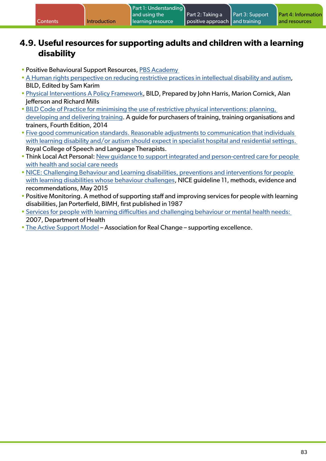### **4.9. Useful resources for supporting adults and children with a learning disability**

- Positive Behavioural Support Resources, [PBS Academy](http://www.pbsacademy.org.uk/)
- [A Human rights perspective on reducing restrictive practices in intellectual disability and autism](http://www.bild.org.uk/), BILD, Edited by Sam Karim
- [Physical Interventions A Policy Framework,](http://www.bild.org.uk/) BILD, Prepared by John Harris, Marion Cornick, Alan Jefferson and Richard Mills
- [BILD Code of Practice for minimising the use of restrictive physical interventions: planning,](http://www.bild.org.uk/)  [developing and delivering training](http://www.bild.org.uk/). A guide for purchasers of training, training organisations and trainers, Fourth Edition, 2014
- [Five good communication standards. Reasonable adjustments to communication that individuals](https://www.rcslt.org/wp-content/uploads/media/Project/RCSLT/5-good-comms-standards-easy-read.pdf)  [with learning disability and/or autism should expect in specialist hospital and residential settings.](https://www.rcslt.org/wp-content/uploads/media/Project/RCSLT/5-good-comms-standards-easy-read.pdf)  Royal College of Speech and Language Therapists.
- Think Local Act Personal: [New guidance to support integrated and person-centred care for people](http://www.thinklocalactpersonal.org.uk/)  [with health and social care needs](http://www.thinklocalactpersonal.org.uk/)
- [NICE: Challenging Behaviour and Learning disabilities, preventions and interventions for people](https://www.nice.org.uk/)  [with learning disabilities whose behaviour challenges,](https://www.nice.org.uk/) NICE guideline 11, methods, evidence and recommendations, May 2015
- Positive Monitoring. A method of supporting staff and improving services for people with learning disabilities, Jan Porterfield, BIMH, first published in 1987
- [Services for people with learning difficulties and challenging behaviour or mental health needs:](https://www.kent.ac.uk/tizard/research/research_projects/dh2007mansellreport.pdf)  2007, Department of Health
- [The Active Support Model](http://arcuk.org.uk/activesupport/)  Association for Real Change supporting excellence.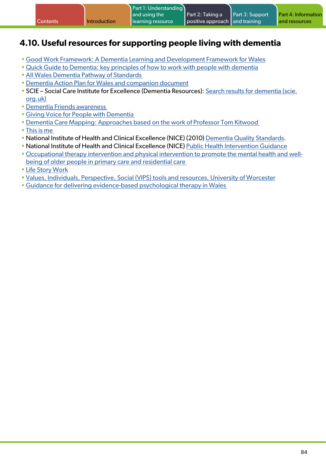|  |  | Contents | Introduction | Part 1: Understanding<br>and using the<br>learning resource | Part 2: Taking a<br>positive approach and training | <b>Part 3: Support</b> | <b>Part 4: Information</b><br>and resources |
|--|--|----------|--------------|-------------------------------------------------------------|----------------------------------------------------|------------------------|---------------------------------------------|
|--|--|----------|--------------|-------------------------------------------------------------|----------------------------------------------------|------------------------|---------------------------------------------|

## **4.10. Useful resources for supporting people living with dementia**

- [Good Work Framework: A Dementia Learning and Development Framework for Wales](https://socialcare.wales/cms_assets/file-uploads/Good-Work-Dementia-Learning-And-Development-Framework.pdf)
- [Quick Guide to Dementia: key principles of how to work with people with dementia](https://www.youtube.com/watch?v=24CoBkgM3EA)
- [All Wales Dementia Pathway of Standards](https://phw.nhs.wales/services-and-teams/improvement-cymru/news-and-blog/publications/dementia-standards/)
- •[Dementia Action Plan for Wales and companion document](https://gov.wales/dementia-action-plan-2018-2022)
- SCIE Social Care Institute for Excellence (Dementia Resources): [Search results for dementia \(scie.](https://www.scie.org.uk/search?sq=dementia) [org.uk\)](https://www.scie.org.uk/search?sq=dementia)
- •[Dementia Friends awareness](http://www.dementiafriends.org.uk/)
- [Giving Voice for People with Dementia](http://givingvoiceuk.org/)
- •[Dementia Care Mapping: Approaches based on the work of Professor Tom Kitwood](https://www.nursingtimes.net/clinical-archive/end-of-life-and-palliative-care/dementia-care-mapping-19-09-2006/)
- [This is me](http://www.rcn.org.uk/)
- National Institute of Health and Clinical Excellence (NICE) (2010) [Dementia Quality Standards.](https://www.nice.org.uk/guidance/qs30/chapter/quality-standard-for-dementia)
- National Institute of Health and Clinical Excellence (NICE) [Public Health Intervention Guidance](http://www.nice.org.uk/)
- [Occupational therapy intervention and physical intervention to promote the mental health and well](http://www.nice.org.uk/Guidance/PH16)[being of older people in primary care and residential care](http://www.nice.org.uk/Guidance/PH16)
- [Life Story Work](http://www.dementiauk.org/informationsupport/life-story-work)
- [Values, Individuals, Perspective, Social \(VIPS\) tools and resources, University of Worcester](http://www.carefitforvips.co.uk/)
- [Guidance for delivering evidence-based psychological therapy in Wales](https://icc.gig.cymru/gwasanaethau-a-thimau/gwelliant-cymru/ein-gwaith/iechyd-meddwl/therapiau-seicolegol/tablau-tystiolaeth/)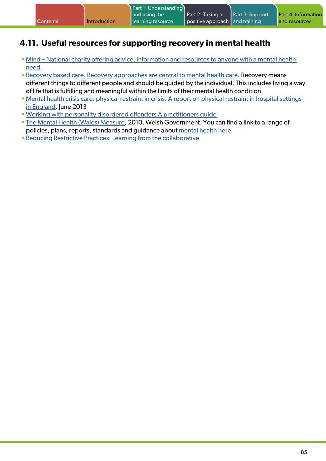## **4.11. Useful resources for supporting recovery in mental health**

- [Mind National charity offering advice, information and resources to anyone with a mental health](http://www.mind.org.uk/news-campaigns/mind-cymru-campaigns/time-to-change-wales/)  [need](http://www.mind.org.uk/news-campaigns/mind-cymru-campaigns/time-to-change-wales/)
- [Recovery based care. Recovery approaches are central to mental health care](http://www.mentalhealthwales.net/). Recovery means different things to different people and should be guided by the individual. This includes living a way of life that is fulfilling and meaningful within the limits of their mental health condition
- [Mental health crisis care: physical restraint in crisis. A report on physical restraint in hospital settings](https://www.mind.org.uk/media-a/4378/physical_restraint_final_web_version.pdf)  [in England](https://www.mind.org.uk/media-a/4378/physical_restraint_final_web_version.pdf). June 2013
- [Working with personality disordered offenders A practitioners guide](https://www.gov.uk/government/publications/working-with-offenders-with-personality-disorder-a-practitioners-guide)
- [The Mental Health \(Wales\) Measure,](https://gov.wales/mental-health-wales-measure-2010-leaflet) 2010, Welsh Government. You can find a link to a range of policies, plans, reports, standards and guidance about [mental health here](https://gov.wales/health-conditions)
- [Reducing Restrictive Practices: Learning from the collaborative](https://www.rcpsych.ac.uk/improving-care/nccmh/reducing-restrictive-practice)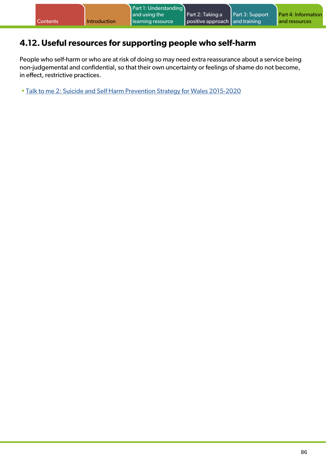## **4.12.Useful resources for supporting people who self-harm**

People who self-harm or who are at risk of doing so may need extra reassurance about a service being non-judgemental and confidential, so that their own uncertainty or feelings of shame do not become, in effect, restrictive practices.

• [Talk to me 2: Suicide and Self Harm Prevention Strategy for Wales 2015-2020](https:/gov.wales/suicide-and-self-harm-prevention-strategy-2015-2020)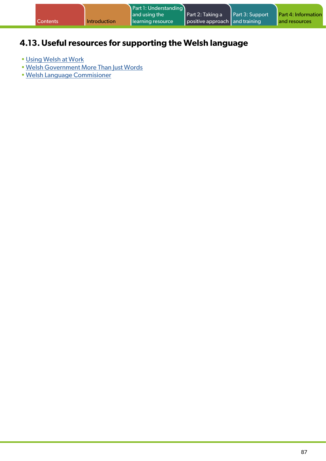| <b>Contents</b> | <b>Introduction</b> | Part 1: Understanding<br>and using the<br>learning resource | Part 2: Taking a<br>positive approach and training | Part 3: Support | <b>Part 4: Information</b><br>and resources |
|-----------------|---------------------|-------------------------------------------------------------|----------------------------------------------------|-----------------|---------------------------------------------|
|                 |                     |                                                             |                                                    |                 |                                             |

# **4.13.Useful resources for supporting the Welsh language**

- [Using Welsh at Work](https://socialcare.wales/learning-and-development/using-welsh-at-work)
- [Welsh Government More Than Just Words](https://gov.wales/welsh-language-and-health)
- [Welsh Language Commisioner](https://urlsand.esvalabs.com/?u=https%3A%2F%2Fwww.comisiynyddygymraeg.cymru%2Feich-hawliau%2Fiaith-gwaith&e=0bf0fcf4&h=692bcc97&f=y&p=n)